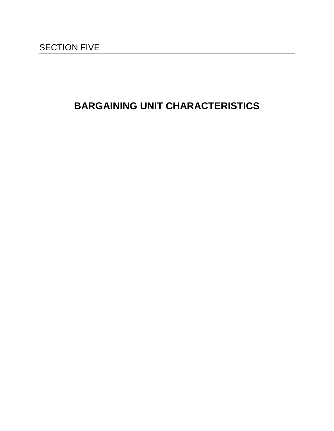# **BARGAINING UNIT CHARACTERISTICS**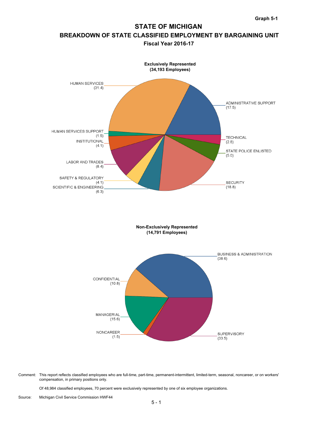# **STATE OF MICHIGAN BREAKDOWN OF STATE CLASSIFIED EMPLOYMENT BY BARGAINING UNIT Fiscal Year 2016-17**



**Non-Exclusively Represented (14,791 Employees)**



Comment: This report reflects classified employees who are full-time, part-time, permanent-intermittent, limited-term, seasonal, noncareer, or on workers' compensation, in primary positions only.

Of 48,984 classified employees, 70 percent were exclusively represented by one of six employee organizations.

Source: Michigan Civil Service Commission HWF44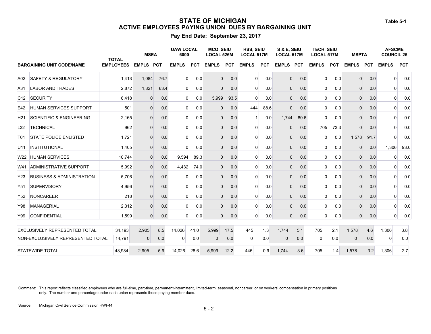### **STATE OF MICHIGAN ACTIVE EMPLOYEES PAYING UNION DUES BY BARGAINING UNIT**

### **Pay End Date: September 23, 2017**

|                 |                                      | <b>TOTAL</b>     | <b>MSEA</b>  |            | <b>UAW LOCAL</b><br>6000 |            | <b>MCO, SEIU</b><br><b>LOCAL 526M</b> |            | <b>HSS, SEIU</b><br><b>LOCAL 517M</b> |            | S & E, SEIU<br><b>LOCAL 517M</b> |            | <b>TECH, SEIU</b><br><b>LOCAL 517M</b> |            | <b>MSPTA</b>   |            | <b>AFSCME</b><br><b>COUNCIL 25</b> |                       |
|-----------------|--------------------------------------|------------------|--------------|------------|--------------------------|------------|---------------------------------------|------------|---------------------------------------|------------|----------------------------------|------------|----------------------------------------|------------|----------------|------------|------------------------------------|-----------------------|
|                 | <b>BARGAINING UNIT CODE/NAME</b>     | <b>EMPLOYEES</b> | <b>EMPLS</b> | <b>PCT</b> | <b>EMPLS</b>             | <b>PCT</b> | <b>EMPLS</b>                          | <b>PCT</b> | <b>EMPLS</b>                          | <b>PCT</b> | <b>EMPLS</b>                     | <b>PCT</b> | <b>EMPLS</b>                           | <b>PCT</b> | <b>EMPLS</b>   | <b>PCT</b> | <b>EMPLS</b>                       | <b>PCT</b>            |
| A02             | <b>SAFETY &amp; REGULATORY</b>       | 1,413            | 1,084        | 76.7       | $\overline{0}$           | 0.0        | $\overline{0}$                        | 0.0        | 0                                     | 0.0        | $\overline{0}$                   | 0.0        | $\overline{0}$                         | 0.0        | $\overline{0}$ | 0.0        |                                    | 0.0<br>$\overline{0}$ |
| A31             | <b>LABOR AND TRADES</b>              | 2,872            | 1,821        | 63.4       | $\Omega$                 | 0.0        | $\overline{0}$                        | 0.0        | $\mathbf{0}$                          | 0.0        | $\overline{0}$                   | 0.0        | $\mathbf{0}$                           | 0.0        | $\mathbf 0$    | 0.0        |                                    | 0.0<br>$\Omega$       |
| C <sub>12</sub> | <b>SECURITY</b>                      | 6,418            | $\mathbf 0$  | 0.0        | $\overline{0}$           | 0.0        | 5,999                                 | 93.5       | $\Omega$                              | 0.0        | $\overline{0}$                   | 0.0        | 0                                      | 0.0        | $\mathbf 0$    | 0.0        |                                    | 0.0<br>$\overline{0}$ |
| E42             | <b>HUMAN SERVICES SUPPORT</b>        | 501              | $\mathbf{0}$ | 0.0        | 0                        | 0.0        | $\overline{0}$                        | 0.0        | 444                                   | 88.6       | $\overline{0}$                   | 0.0        | $\mathbf{0}$                           | 0.0        | $\mathbf 0$    | 0.0        |                                    | 0.0<br>$\Omega$       |
| H <sub>21</sub> | <b>SCIENTIFIC &amp; ENGINEERING</b>  | 2,165            | $\mathbf 0$  | 0.0        | $\overline{0}$           | 0.0        | $\overline{0}$                        | 0.0        | $\mathbf{1}$                          | 0.0        | 1,744                            | 80.6       | $\mathbf 0$                            | 0.0        | $\mathbf 0$    | 0.0        |                                    | 0.0<br>$\overline{0}$ |
| L32             | TECHNICAL                            | 962              | $\mathbf 0$  | 0.0        | $\Omega$                 | 0.0        | $\overline{0}$                        | 0.0        | 0                                     | 0.0        | $\mathbf 0$                      | 0.0        | 705                                    | 73.3       | $\mathbf 0$    | 0.0        |                                    | 0.0<br>$\Omega$       |
| T01             | <b>STATE POLICE ENLISTED</b>         | 1,721            | $\mathbf 0$  | 0.0        | $\overline{0}$           | 0.0        | $\overline{0}$                        | 0.0        | $\mathbf 0$                           | 0.0        | $\overline{0}$                   | 0.0        | 0                                      | 0.0        | 1,578          | 91.7       |                                    | 0.0<br>$\overline{0}$ |
| U11             | INSTITUTIONAL                        | 1,405            | $\mathbf 0$  | 0.0        | $\Omega$                 | 0.0        | $\overline{0}$                        | 0.0        | $\Omega$                              | 0.0        | $\overline{0}$                   | 0.0        | 0                                      | 0.0        | $\mathbf 0$    | 0.0        | 1,306                              | 93.0                  |
| W22             | <b>HUMAN SERVICES</b>                | 10.744           | $\mathbf 0$  | 0.0        | 9.594                    | 89.3       | $\overline{0}$                        | 0.0        | $\mathbf 0$                           | 0.0        | $\overline{0}$                   | 0.0        | $\mathbf 0$                            | 0.0        | $\overline{0}$ | 0.0        |                                    | 0.0<br>$\overline{0}$ |
| W41             | <b>ADMINISTRATIVE SUPPORT</b>        | 5.992            | $\mathbf{0}$ | 0.0        | 4.432                    | 74.0       | $\overline{0}$                        | 0.0        | 0                                     | 0.0        | $\overline{0}$                   | 0.0        | $\mathbf{0}$                           | 0.0        | $\mathbf 0$    | 0.0        |                                    | 0.0<br>$\Omega$       |
| Y23             | <b>BUSINESS &amp; ADMINISTRATION</b> | 5.706            | $\mathbf 0$  | 0.0        | 0                        | 0.0        | $\overline{0}$                        | 0.0        | $\mathbf 0$                           | 0.0        | $\overline{0}$                   | 0.0        | $\mathbf 0$                            | 0.0        | $\mathbf 0$    | 0.0        |                                    | 0.0<br>$\overline{0}$ |
| Y51             | <b>SUPERVISORY</b>                   | 4,956            | $\mathbf{0}$ | 0.0        | 0                        | 0.0        | $\overline{0}$                        | 0.0        | 0                                     | 0.0        | $\overline{0}$                   | 0.0        | $\mathbf{0}$                           | 0.0        | $\mathbf 0$    | 0.0        |                                    | 0.0<br>$\Omega$       |
| Y52             | <b>NONCAREER</b>                     | 218              | $\mathbf{0}$ | 0.0        | $\mathbf 0$              | 0.0        | $\overline{0}$                        | 0.0        | $\mathbf 0$                           | 0.0        | $\overline{0}$                   | 0.0        | $\mathbf 0$                            | 0.0        | $\mathbf 0$    | 0.0        |                                    | 0.0<br>$\overline{0}$ |
| Y98.            | <b>MANAGERIAL</b>                    | 2,312            | $\mathbf 0$  | 0.0        | $\Omega$                 | 0.0        | $\Omega$                              | 0.0        | $\Omega$                              | 0.0        | $\overline{0}$                   | 0.0        | $\mathbf{0}$                           | 0.0        | $\Omega$       | 0.0        |                                    | 0.0<br>$\Omega$       |
| Y99             | CONFIDENTIAL                         | 1.599            | $\Omega$     | 0.0        | $\Omega$                 | 0.0        | $\Omega$                              | 0.0        | $\Omega$                              | 0.0        | $\Omega$                         | 0.0        | $\Omega$                               | 0.0        | $\Omega$       | 0.0        |                                    | 0.0<br>$\Omega$       |
|                 | <b>EXCLUSIVELY REPRESENTED TOTAL</b> | 34,193           | 2,905        | 8.5        | 14,026                   | 41.0       | 5,999                                 | 17.5       | 445                                   | 1.3        | 1,744                            | 5.1        | 705                                    | 2.1        | 1,578          | 4.6        | 1,306                              | 3.8                   |
|                 | NON-EXCLUSIVELY REPRESENTED TOTAL    | 14,791           | $\mathbf{0}$ | 0.0        | 0                        | 0.0        | $\mathbf{0}$                          | 0.0        | $\Omega$                              | 0.0        | $\mathbf 0$                      | 0.0        | $\mathbf 0$                            | 0.0        | $\mathbf 0$    | 0.0        | $\Omega$                           | 0.0                   |
|                 | <b>STATEWIDE TOTAL</b>               | 48,984           | 2,905        | 5.9        | 14,026                   | 28.6       | 5,999                                 | 12.2       | 445                                   | 0.9        | 1,744                            | 3.6        | 705                                    | 1.4        | 1,578          | 3.2        | 1,306                              | 2.7                   |

Comment: This report reflects classified employees who are full-time, part-time, permanent-intermittent, limited-term, seasonal, noncareer, or on workers' compensation in primary positions only. The number and percentage under each union represents those paying member dues.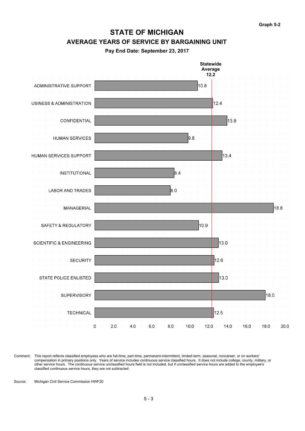# **AVERAGE YEARS OF SERVICE BY BARGAINING UNIT STATE OF MICHIGAN**

**Pay End Date: September 23, 2017**



Comment: This report reflects classified employees who are full-time, part-time, permanent-intermittent, limited-term, seasonal, noncareer, or on workers' compensation in primary positions only. Years of service includes continuous service classified hours. It does not include college, county, military, or other service hours. The continuous service unclassified hours field is not included, but if unclassified service hours are added to the employee's classified continuous service hours, they are not subtracted.

Michigan Civil Service Commission HWF20 Source: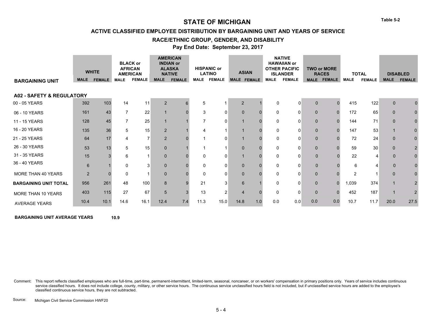**Table 5-2**

### **ACTIVE CLASSIFIED EMPLOYEE DISTRIBUTION BY BARGAINING UNIT AND YEARS OF SERVICE**

#### **RACE/ETHNIC GROUP, GENDER, AND DISABILITY**

**Pay End Date: September 23, 2017**

|                                      |             | <b>WHITE</b>  | <b>AFRICAN</b><br><b>AMERICAN</b> | <b>BLACK or</b> | <b>AMERICAN</b><br><b>INDIAN or</b><br><b>ALASKA</b><br><b>NATIVE</b> |               |             | <b>HISPANIC or</b><br><b>LATINO</b> | <b>ASIAN</b>   |     |              | <b>NATIVE</b><br><b>HAWAIIAN or</b><br><b>OTHER PACIFIC</b><br><b>ISLANDER</b> |              | <b>TWO or MORE</b><br><b>RACES</b> |             | <b>TOTAL</b>  |              | <b>DISABLED</b> |
|--------------------------------------|-------------|---------------|-----------------------------------|-----------------|-----------------------------------------------------------------------|---------------|-------------|-------------------------------------|----------------|-----|--------------|--------------------------------------------------------------------------------|--------------|------------------------------------|-------------|---------------|--------------|-----------------|
| <b>BARGAINING UNIT</b>               | <b>MALE</b> | <b>FEMALE</b> | <b>MALE</b>                       | <b>FEMALE</b>   | <b>MALE</b>                                                           | <b>FEMALE</b> | <b>MALE</b> | <b>FEMALE</b>                       | MALE FEMALE    |     | <b>MALE</b>  | <b>FEMALE</b>                                                                  | <b>MALE</b>  | <b>FEMALE</b>                      | <b>MALE</b> | <b>FEMALE</b> | <b>MALE</b>  | <b>FEMALE</b>   |
| <b>A02 - SAFETY &amp; REGULATORY</b> |             |               |                                   |                 |                                                                       |               |             |                                     |                |     |              |                                                                                |              |                                    |             |               |              |                 |
| 00 - 05 YEARS                        | 392         | 103           | 14                                | 11              | $\overline{2}$                                                        | 6             | 5           |                                     | $\overline{2}$ |     | $\mathbf{0}$ | 0                                                                              | $\Omega$     |                                    | 415         | 122           | $\Omega$     |                 |
| 06 - 10 YEARS                        | 161         | 43            |                                   | 22              |                                                                       |               | 3           | 0                                   | $\mathbf{0}$   |     | 0            | 0                                                                              | $\mathbf{0}$ | $\Omega$                           | 172         | 65            | $\mathbf{0}$ |                 |
| 11 - 15 YEARS                        | 128         | 45            |                                   | 25              |                                                                       |               |             | $\Omega$                            |                |     | 0            | 0                                                                              | 0            |                                    | 144         | 71            | $\Omega$     |                 |
| 16 - 20 YEARS                        | 135         | 36            | 5                                 | 15              | $\overline{2}$                                                        |               |             |                                     |                |     | 0            | 0                                                                              | $\mathbf{0}$ |                                    | 147         | 53            |              |                 |
| 21 - 25 YEARS                        | 64          | 17            |                                   | $\overline{7}$  | $\overline{2}$                                                        |               |             | $\Omega$                            |                |     | 0            | 0                                                                              | $\Omega$     |                                    | 72          | 24            | $\Omega$     |                 |
| 26 - 30 YEARS                        | 53          | 13            | 5                                 | 15              | $\Omega$                                                              |               |             |                                     | $\Omega$       |     |              | 0                                                                              | $\mathbf 0$  |                                    | 59          | 30            | $\Omega$     |                 |
| 31 - 35 YEARS                        | 15          |               | 6                                 |                 | 0                                                                     |               | $\Omega$    | $\Omega$                            |                |     |              | 0                                                                              | $\mathbf{0}$ |                                    | 22          |               | $\Omega$     |                 |
| 36 - 40 YEARS                        | 6           |               | $\Omega$                          | 3               | $\mathbf{0}$                                                          |               | 0           | $\Omega$                            | $\mathbf 0$    |     |              | 0                                                                              | $\mathbf{0}$ |                                    | 6           |               |              |                 |
| MORE THAN 40 YEARS                   | 2           |               | $\Omega$                          |                 | $\mathbf{0}$                                                          |               | $\Omega$    | $\Omega$                            | $\Omega$       |     | 0            | 0                                                                              | $\mathbf 0$  |                                    | 2           |               | $\Omega$     |                 |
| <b>BARGAINING UNIT TOTAL</b>         | 956         | 261           | 48                                | 100             | 8                                                                     | g             | 21          | 3                                   | 6              |     | U            | 0                                                                              | $\mathbf 0$  | $\Omega$                           | 1,039       | 374           |              |                 |
| MORE THAN 10 YEARS                   | 403         | 115           | 27                                | 67              | 5                                                                     |               | 13          | $\overline{2}$                      | $\overline{4}$ |     | U            | $\Omega$                                                                       | $\mathbf{0}$ |                                    | 452         | 187           |              | 2               |
| <b>AVERAGE YEARS</b>                 | 10.4        | 10.1          | 14.6                              | 16.1            | 12.4                                                                  | 7.4           | 11.3        | 15.0                                | 14.8           | 1.0 | 0.0          | 0.0                                                                            | 0.0          | 0.0                                | 10.7        | 11.7          | 20.0         | 27.5            |

**BARGAINING UNIT AVERAGE YEARS**  $10.9$ 

Comment: This report reflects classified employees who are full-time, part-time, permanent-intermittent, limited-term, seasonal, noncareer, or on workers' compensation in primary positions only. Years of service includes c service classified hours. It does not include college, county, military, or other service hours. The continuous service unclassified hours field is not included, but if unclassified service hours are added to the employee' classified continuous service hours, they are not subtracted.

Source: Michigan Civil Service Commission HWF20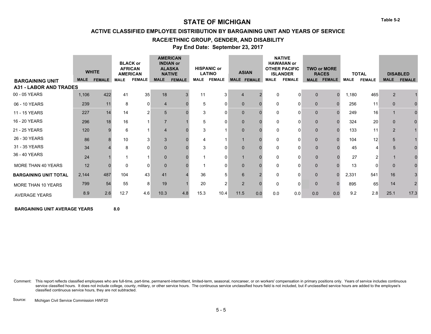**Table 5-2**

### **ACTIVE CLASSIFIED EMPLOYEE DISTRIBUTION BY BARGAINING UNIT AND YEARS OF SERVICE**

#### **RACE/ETHNIC GROUP, GENDER, AND DISABILITY**

**Pay End Date: September 23, 2017**

|                               |             | <b>WHITE</b>  | <b>AFRICAN</b><br><b>AMERICAN</b> | <b>BLACK or</b> |                | <b>AMERICAN</b><br><b>INDIAN or</b><br><b>ALASKA</b><br><b>NATIVE</b> |             | <b>HISPANIC or</b><br><b>LATINO</b> |                | <b>ASIAN</b>       |             | <b>NATIVE</b><br><b>HAWAIIAN or</b><br><b>OTHER PACIFIC</b><br><b>ISLANDER</b> |              | <b>TWO or MORE</b><br><b>RACES</b> |             | <b>TOTAL</b>  |                | <b>DISABLED</b> |
|-------------------------------|-------------|---------------|-----------------------------------|-----------------|----------------|-----------------------------------------------------------------------|-------------|-------------------------------------|----------------|--------------------|-------------|--------------------------------------------------------------------------------|--------------|------------------------------------|-------------|---------------|----------------|-----------------|
| <b>BARGAINING UNIT</b>        | <b>MALE</b> | <b>FEMALE</b> | <b>MALE</b>                       | <b>FEMALE</b>   | <b>MALE</b>    | <b>FEMALE</b>                                                         | <b>MALE</b> | <b>FEMALE</b>                       |                | <b>MALE FEMALE</b> | <b>MALE</b> | <b>FEMALE</b>                                                                  | <b>MALE</b>  | <b>FEMALE</b>                      | <b>MALE</b> | <b>FEMALE</b> | <b>MALE</b>    | <b>FEMALE</b>   |
| <b>A31 - LABOR AND TRADES</b> |             |               |                                   |                 |                |                                                                       |             |                                     |                |                    |             |                                                                                |              |                                    |             |               |                |                 |
| 00 - 05 YEARS                 | 1,106       | 422           | 41                                | 35              | 18             | 3                                                                     | 11          | 3                                   | $\overline{4}$ |                    | 0           | $\Omega$                                                                       | $\mathbf{0}$ | $\Omega$                           | 1,180       | 465           | 2              |                 |
| 06 - 10 YEARS                 | 239         | 11            | 8                                 | $\Omega$        | $\overline{4}$ |                                                                       | 5           | 0                                   | $\Omega$       |                    | $\Omega$    | 0                                                                              | $\Omega$     |                                    | 256         | 11            | $\Omega$       |                 |
| 11 - 15 YEARS                 | 227         | 14            | 14                                | $\overline{2}$  | 5              |                                                                       | 3           | 0                                   | $\Omega$       |                    | $\Omega$    | 0                                                                              | $\mathbf 0$  |                                    | 249         | 16            |                |                 |
| 16 - 20 YEARS                 | 296         | 18            | 16                                |                 | $\overline{7}$ |                                                                       | 5           | 0                                   | $\mathbf{0}$   |                    | $\Omega$    | $\Omega$                                                                       | $\mathbf{0}$ |                                    | 324         | 20            | $\Omega$       |                 |
| 21 - 25 YEARS                 | 120         |               | 6                                 |                 | $\overline{4}$ |                                                                       | 3           |                                     | $\Omega$       |                    | $\Omega$    | $\Omega$                                                                       | $\mathbf{0}$ |                                    | 133         | 11            | $\overline{2}$ |                 |
| 26 - 30 YEARS                 | 86          |               | 10                                | 3               | 3              |                                                                       |             |                                     |                |                    | $\Omega$    | 0                                                                              | $\mathbf{0}$ |                                    | 104         | 12            | 5              |                 |
| 31 - 35 YEARS                 | 34          |               | 8                                 | $\Omega$        | $\mathbf{0}$   |                                                                       | 3           | 0                                   | $\Omega$       |                    | $\Omega$    | 0                                                                              | $\mathbf{0}$ |                                    | 45          |               | 5              |                 |
| 36 - 40 YEARS                 | 24          |               |                                   |                 | $\mathbf{0}$   |                                                                       |             | 0                                   |                |                    | $\Omega$    | $\Omega$                                                                       | $\Omega$     |                                    | 27          |               |                |                 |
| MORE THAN 40 YEARS            | 12          |               | $\Omega$                          | $\Omega$        | $\Omega$       |                                                                       |             | 0                                   | $\Omega$       |                    | O           | 0                                                                              | $\Omega$     |                                    | 13          |               | $\Omega$       |                 |
| <b>BARGAINING UNIT TOTAL</b>  | 2,144       | 487           | 104                               | 43              | 41             |                                                                       | 36          | 5                                   | 6              |                    | 0           | $\Omega$                                                                       | $\mathbf{0}$ |                                    | 2,331       | 541           | 16             |                 |
| MORE THAN 10 YEARS            | 799         | 54            | 55                                | 8               | 19             |                                                                       | 20          | 2                                   | $\overline{2}$ |                    | $\Omega$    | $\Omega$                                                                       | $\mathbf 0$  |                                    | 895         | 65            | 14             | $\mathcal{P}$   |
| <b>AVERAGE YEARS</b>          | 8.9         | 2.6           | 12.7                              | 4.6             | 10.3           | 4.8                                                                   | 15.3        | 10.4                                | 11.5           | 0.0                | 0.0         | 0.0                                                                            | 0.0          | 0.0                                | 9.2         | 2.8           | 25.1           | 17.3            |

**BARGAINING UNIT AVERAGE YEARS**  $8.0$ 

Comment: This report reflects classified employees who are full-time, part-time, permanent-intermittent, limited-term, seasonal, noncareer, or on workers' compensation in primary positions only. Years of service includes c service classified hours. It does not include college, county, military, or other service hours. The continuous service unclassified hours field is not included, but if unclassified service hours are added to the employee' classified continuous service hours, they are not subtracted.

Source: Michigan Civil Service Commission HWF20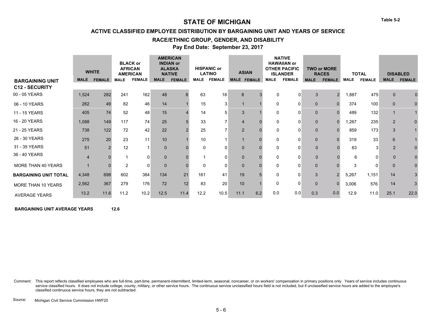**ACTIVE CLASSIFIED EMPLOYEE DISTRIBUTION BY BARGAINING UNIT AND YEARS OF SERVICE**

#### **RACE/ETHNIC GROUP, GENDER, AND DISABILITY**

**Pay End Date: September 23, 2017**

|                                                 |                | <b>WHITE</b>  |                | <b>BLACK or</b><br><b>AFRICAN</b><br><b>AMERICAN</b> |              | <b>AMERICAN</b><br><b>INDIAN or</b><br><b>ALASKA</b><br><b>NATIVE</b> |             | <b>HISPANIC or</b><br><b>LATINO</b> |                | <b>ASIAN</b>       |             | <b>NATIVE</b><br><b>HAWAIIAN or</b><br><b>OTHER PACIFIC</b><br><b>ISLANDER</b> |              | <b>TWO or MORE</b><br><b>RACES</b> |             | <b>TOTAL</b>  |                | <b>DISABLED</b> |
|-------------------------------------------------|----------------|---------------|----------------|------------------------------------------------------|--------------|-----------------------------------------------------------------------|-------------|-------------------------------------|----------------|--------------------|-------------|--------------------------------------------------------------------------------|--------------|------------------------------------|-------------|---------------|----------------|-----------------|
| <b>BARGAINING UNIT</b><br><b>C12 - SECURITY</b> | <b>MALE</b>    | <b>FEMALE</b> | <b>MALE</b>    | <b>FEMALE</b>                                        | <b>MALE</b>  | <b>FEMALE</b>                                                         | <b>MALE</b> | <b>FEMALE</b>                       |                | <b>MALE FEMALE</b> | <b>MALE</b> | <b>FEMALE</b>                                                                  | <b>MALE</b>  | <b>FEMALE</b>                      | <b>MALE</b> | <b>FEMALE</b> | <b>MALE</b>    | <b>FEMALE</b>   |
| 00 - 05 YEARS                                   | 1,524          | 282           | 241            | 162                                                  | 48           | 8                                                                     | 63          | 18                                  | 8              |                    | 0           | 0                                                                              | 3            | $\mathfrak{p}$                     | 1,887       | 475           | $\Omega$       |                 |
| 06 - 10 YEARS                                   | 262            | 49            | 82             | 46                                                   | 14           |                                                                       | 15          | 3                                   |                |                    | 0           | 0                                                                              | $\mathbf 0$  |                                    | 374         | 100           | $\mathbf 0$    |                 |
| 11 - 15 YEARS                                   | 405            | 74            | 52             | 48                                                   | 15           |                                                                       | 14          |                                     | 3              |                    | 0           | 0                                                                              | $\mathbf 0$  |                                    | 489         | 132           |                |                 |
| 16 - 20 YEARS                                   | 1,088          | 149           | 117            | 74                                                   | 25           |                                                                       | 33          |                                     | $\overline{4}$ |                    | 0           | 0                                                                              | $\mathbf 0$  |                                    | 267,        | 235           | $\overline{2}$ | 0               |
| 21 - 25 YEARS                                   | 738            | 122           | 72             | 42                                                   | 22           |                                                                       | 25          |                                     | $\overline{2}$ |                    | 0           | 0                                                                              | $\mathbf 0$  |                                    | 859         | 173           | 3              |                 |
| 26 - 30 YEARS                                   | 275            | 20            | 23             | 11                                                   | 10           |                                                                       | 10          |                                     |                |                    | 0           | 0                                                                              | $\mathbf 0$  |                                    | 319         | 33            | 6              |                 |
| 31 - 35 YEARS                                   | 51             |               | 12             |                                                      | $\mathbf{0}$ |                                                                       | $\Omega$    | 0                                   | $\Omega$       |                    | 0           | 0                                                                              | $\mathbf{0}$ |                                    | 63          | 3             | $\overline{2}$ |                 |
| 36 - 40 YEARS                                   | $\overline{4}$ |               |                | $\Omega$                                             | $\mathbf{0}$ |                                                                       |             | 0                                   | $\Omega$       |                    | 0           |                                                                                | $\mathbf{0}$ |                                    | 6           |               | $\Omega$       |                 |
| MORE THAN 40 YEARS                              |                |               | $\overline{2}$ | 0                                                    | $\mathbf{0}$ |                                                                       | $\mathbf 0$ | $\Omega$                            | $\Omega$       |                    |             | 0                                                                              | $\mathbf 0$  |                                    | 3           | 0             | $\Omega$       |                 |
| <b>BARGAINING UNIT TOTAL</b>                    | 4,348          | 698           | 602            | 384                                                  | 134          | 21                                                                    | 161         | 41                                  | 19             |                    | U           | O                                                                              | 3            |                                    | 5,267       | 1,151         | 14             |                 |
| MORE THAN 10 YEARS                              | 2,562          | 367           | 279            | 176                                                  | 72           | 12                                                                    | 83          | 20                                  | 10             |                    | 0           | 0                                                                              | $\mathbf 0$  |                                    | 3,006       | 576           | 14             | 3               |
| <b>AVERAGE YEARS</b>                            | 13.2           | 11.6          | 11.2           | 10.2                                                 | 12.5         | 11.4                                                                  | 12.2        | 10.5                                | 11.1           | 6.2                | 0.0         | 0.0                                                                            | 0.3          | 0.0                                | 12.9        | 11.0          | 25.1           | 22.0            |

**BARGAINING UNIT AVERAGE YEARS 12.6** # # ##

Comment: This report reflects classified employees who are full-time, part-time, permanent-intermittent, limited-term, seasonal, noncareer, or on workers' compensation in primary positions only. Years of service includes c service classified hours. It does not include college, county, military, or other service hours. The continuous service unclassified hours field is not included, but if unclassified service hours are added to the employee' classified continuous service hours, they are not subtracted.

Source: Michigan Civil Service Commission HWF20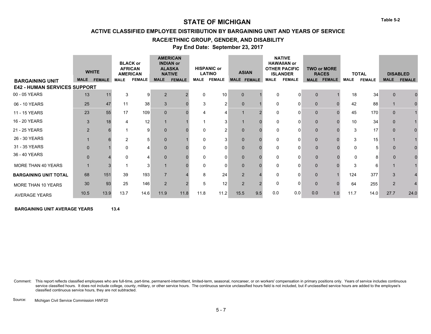**Table 5-2**

### **ACTIVE CLASSIFIED EMPLOYEE DISTRIBUTION BY BARGAINING UNIT AND YEARS OF SERVICE**

#### **RACE/ETHNIC GROUP, GENDER, AND DISABILITY**

**Pay End Date: September 23, 2017**

|                                     |              | <b>WHITE</b> |             | <b>BLACK or</b><br><b>AFRICAN</b><br><b>AMERICAN</b> |                | <b>AMERICAN</b><br><b>INDIAN or</b><br><b>ALASKA</b><br><b>NATIVE</b> |             | <b>HISPANIC or</b><br><b>LATINO</b> |                | <b>ASIAN</b>       |             | <b>NATIVE</b><br><b>HAWAIIAN or</b><br><b>OTHER PACIFIC</b><br><b>ISLANDER</b> |              | <b>TWO or MORE</b><br><b>RACES</b> |              | <b>TOTAL</b>  |                | <b>DISABLED</b> |
|-------------------------------------|--------------|--------------|-------------|------------------------------------------------------|----------------|-----------------------------------------------------------------------|-------------|-------------------------------------|----------------|--------------------|-------------|--------------------------------------------------------------------------------|--------------|------------------------------------|--------------|---------------|----------------|-----------------|
| <b>BARGAINING UNIT</b>              |              | MALE FEMALE  | <b>MALE</b> | <b>FEMALE</b>                                        | <b>MALE</b>    | <b>FEMALE</b>                                                         | <b>MALE</b> | <b>FEMALE</b>                       |                | <b>MALE FEMALE</b> | <b>MALE</b> | <b>FEMALE</b>                                                                  |              | MALE FEMALE                        | <b>MALE</b>  | <b>FEMALE</b> | <b>MALE</b>    | <b>FEMALE</b>   |
| <b>E42 - HUMAN SERVICES SUPPORT</b> |              |              |             |                                                      |                |                                                                       |             |                                     |                |                    |             |                                                                                |              |                                    |              |               |                |                 |
| 00 - 05 YEARS                       | 13           | 11           | 3           | 9                                                    | 2              |                                                                       | 0           | 10                                  | $\Omega$       |                    | $\Omega$    | O                                                                              | $\mathbf{0}$ |                                    | 18           | 34            | $\Omega$       |                 |
| 06 - 10 YEARS                       | 25           | 47           | 11          | 38                                                   | 3              |                                                                       | 3           | $\mathfrak{p}$                      | $\mathbf 0$    |                    | 0           | 0                                                                              | $\mathbf{0}$ |                                    | 42           | 88            |                |                 |
| 11 - 15 YEARS                       | 23           | 55           | 17          | 109                                                  | $\mathbf{0}$   |                                                                       |             |                                     |                |                    | 0           | 0                                                                              | $\mathbf{0}$ |                                    | 45           | 170           | $\Omega$       |                 |
| 16 - 20 YEARS                       | 3            | 18           |             | 12                                                   | $\mathbf{1}$   |                                                                       |             | 3                                   |                |                    | $\Omega$    | O                                                                              | $\mathbf{0}$ |                                    | 10           | 34            | $\Omega$       |                 |
| 21 - 25 YEARS                       | 2            |              |             | 9                                                    | $\Omega$       |                                                                       | O           |                                     | $\Omega$       |                    | $\Omega$    | O                                                                              | $\mathbf{0}$ |                                    | 3            | 17            | $\Omega$       |                 |
| 26 - 30 YEARS                       |              |              |             | 5                                                    | $\mathbf{0}$   |                                                                       | 0           | 3                                   | $\mathbf{0}$   |                    | 0           | O                                                                              | $\mathbf{0}$ |                                    | 3            | 15            |                |                 |
| 31 - 35 YEARS                       | $\mathbf{0}$ |              | $\Omega$    | 4                                                    | $\mathbf{0}$   |                                                                       | 0           | O                                   | $\mathbf{0}$   |                    | 0           | O                                                                              | $\mathbf 0$  |                                    | $\mathbf{0}$ |               | n              |                 |
| 36 - 40 YEARS                       | $\Omega$     |              | $\Omega$    |                                                      | $\Omega$       |                                                                       | 0           |                                     | $\Omega$       |                    | 0           | O                                                                              | $\mathbf{0}$ |                                    |              |               |                |                 |
| MORE THAN 40 YEARS                  |              |              |             | 3                                                    |                |                                                                       |             | 0                                   | $\Omega$       |                    | O           | 0                                                                              | $\Omega$     |                                    |              |               |                |                 |
| <b>BARGAINING UNIT TOTAL</b>        | 68           | 151          | 39          | 193                                                  | $\overline{7}$ |                                                                       | 8           | 24                                  | $\overline{2}$ |                    | O           | O                                                                              | $\Omega$     |                                    | 124          | 377           | 3              |                 |
| MORE THAN 10 YEARS                  | 30           | 93           | 25          | 146                                                  | $\overline{2}$ |                                                                       | 5           | 12                                  | $\overline{2}$ |                    | $\Omega$    | 0                                                                              | $\Omega$     |                                    | 64           | 255           | $\overline{2}$ | 4               |
| <b>AVERAGE YEARS</b>                | 10.5         | 13.9         | 13.7        | 14.6                                                 | 11.9           | 11.8                                                                  | 11.8        | 11.2                                | 15.5           | 9.5                | 0.0         | 0.0                                                                            | 0.0          | 1.0                                | 11.7         | 14.0          | 27.7           | 24.0            |

**BARGAINING UNIT AVERAGE YEARS 43.4** 

Comment: This report reflects classified employees who are full-time, part-time, permanent-intermittent, limited-term, seasonal, noncareer, or on workers' compensation in primary positions only. Years of service includes c service classified hours. It does not include college, county, military, or other service hours. The continuous service unclassified hours field is not included, but if unclassified service hours are added to the employee' classified continuous service hours, they are not subtracted.

Source: Michigan Civil Service Commission HWF20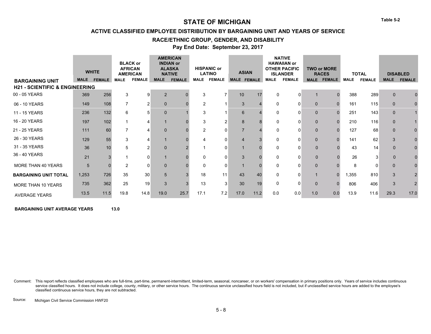**Table 5-2**

### **ACTIVE CLASSIFIED EMPLOYEE DISTRIBUTION BY BARGAINING UNIT AND YEARS OF SERVICE**

#### **RACE/ETHNIC GROUP, GENDER, AND DISABILITY**

**Pay End Date: September 23, 2017**

|                                           |             | <b>WHITE</b>  |             | <b>BLACK or</b><br><b>AFRICAN</b><br><b>AMERICAN</b> |                | <b>AMERICAN</b><br><b>INDIAN or</b><br><b>ALASKA</b><br><b>NATIVE</b> |                | <b>HISPANIC or</b><br><b>LATINO</b> | <b>ASIAN</b>       |      |             | <b>NATIVE</b><br><b>HAWAIIAN or</b><br><b>OTHER PACIFIC</b><br><b>ISLANDER</b> |              | <b>TWO or MORE</b><br><b>RACES</b> |             | <b>TOTAL</b>  |             | <b>DISABLED</b> |
|-------------------------------------------|-------------|---------------|-------------|------------------------------------------------------|----------------|-----------------------------------------------------------------------|----------------|-------------------------------------|--------------------|------|-------------|--------------------------------------------------------------------------------|--------------|------------------------------------|-------------|---------------|-------------|-----------------|
| <b>BARGAINING UNIT</b>                    | <b>MALE</b> | <b>FEMALE</b> | <b>MALE</b> | <b>FEMALE</b>                                        | <b>MALE</b>    | <b>FEMALE</b>                                                         | <b>MALE</b>    | <b>FEMALE</b>                       | <b>MALE FEMALE</b> |      | <b>MALE</b> | <b>FEMALE</b>                                                                  | <b>MALE</b>  | <b>FEMALE</b>                      | <b>MALE</b> | <b>FEMALE</b> | <b>MALE</b> | <b>FEMALE</b>   |
| <b>H21 - SCIENTIFIC &amp; ENGINEERING</b> |             |               |             |                                                      |                |                                                                       |                |                                     |                    |      |             |                                                                                |              |                                    |             |               |             |                 |
| 00 - 05 YEARS                             | 369         | 256           | 3           | 9                                                    | $\overline{2}$ |                                                                       | 3              |                                     | 10                 | 17   | 0           | <sup>0</sup>                                                                   |              |                                    | 388         | 289           | $\Omega$    |                 |
| 06 - 10 YEARS                             | 149         | 108           |             | 2                                                    | $\mathbf{0}$   |                                                                       | 2              |                                     | 3                  |      | O           | 0                                                                              | $\Omega$     |                                    | 161         | 115           | $\Omega$    |                 |
| 11 - 15 YEARS                             | 236         | 132           | 6           | 5                                                    | $\mathbf{0}$   |                                                                       | 3              |                                     | 6                  |      | 0           | 0                                                                              | $\mathbf{0}$ |                                    | 251         | 143           | $\Omega$    |                 |
| 16 - 20 YEARS                             | 197         | 102           |             |                                                      |                |                                                                       | 3              | 2                                   | 8                  |      | $\Omega$    | $\Omega$                                                                       | $\mathbf{0}$ |                                    | 210         | 116           | $\Omega$    |                 |
| 21 - 25 YEARS                             | 111         | 60            |             |                                                      | $\mathbf{0}$   |                                                                       | $\overline{2}$ | 0                                   |                    |      | $\Omega$    | $\Omega$                                                                       | $\mathbf{0}$ |                                    | 127         | 68            | $\Omega$    |                 |
| 26 - 30 YEARS                             | 129         | 55            | 3           |                                                      |                |                                                                       |                | 0                                   |                    |      | $\Omega$    | 0                                                                              | $\mathbf{0}$ |                                    | 141         | 62            | 3           |                 |
| 31 - 35 YEARS                             | 36          | 10            | 5           | 2                                                    | $\Omega$       |                                                                       |                | 0                                   |                    |      | $\Omega$    | 0                                                                              | $\mathbf{0}$ |                                    | 43          | 14            | $\Omega$    |                 |
| 36 - 40 YEARS                             | 21          |               |             | 0                                                    |                |                                                                       | O              |                                     | 3                  |      | O           | ŋ                                                                              | $\mathbf{0}$ |                                    | 26          |               | $\Omega$    |                 |
| MORE THAN 40 YEARS                        | 5           |               | 2           | $\Omega$                                             | $\mathbf 0$    |                                                                       | 0              | 0                                   |                    |      | O           | 0                                                                              | $\Omega$     |                                    |             |               | $\Omega$    |                 |
| <b>BARGAINING UNIT TOTAL</b>              | 1,253       | 726           | 35          | 30                                                   | 5              |                                                                       | 18             | 11                                  | 43                 | 40   | 0           | 0                                                                              |              |                                    | 1,355       | 810           | 3           |                 |
| MORE THAN 10 YEARS                        | 735         | 362           | 25          | 19                                                   | 3              |                                                                       | 13             | 3                                   | 30                 | 19   | 0           | 0                                                                              | $\mathbf 0$  |                                    | 806         | 406           | 3           | $\overline{2}$  |
| <b>AVERAGE YEARS</b>                      | 13.5        | 11.5          | 19.8        | 14.8                                                 | 19.0           | 25.7                                                                  | 17.1           | 7.2                                 | 17.0               | 11.2 | 0.0         | 0.0                                                                            | 1.0          | 0.0                                | 13.9        | 11.6          | 29.3        | 17.0            |

**BARGAINING UNIT AVERAGE YEARS**  $13.0$ 

Comment: This report reflects classified employees who are full-time, part-time, permanent-intermittent, limited-term, seasonal, noncareer, or on workers' compensation in primary positions only. Years of service includes c service classified hours. It does not include college, county, military, or other service hours. The continuous service unclassified hours field is not included, but if unclassified service hours are added to the employee' classified continuous service hours, they are not subtracted.

Source: Michigan Civil Service Commission HWF20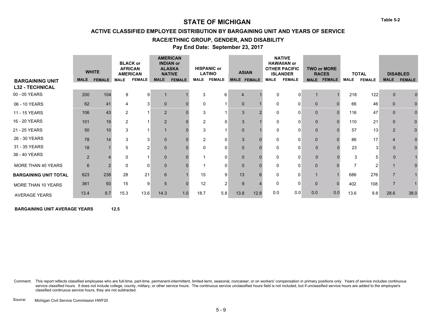**ACTIVE CLASSIFIED EMPLOYEE DISTRIBUTION BY BARGAINING UNIT AND YEARS OF SERVICE**

#### **RACE/ETHNIC GROUP, GENDER, AND DISABILITY**

**Pay End Date: September 23, 2017**

|                                                  | <b>MALE</b>    | <b>WHITE</b><br><b>FEMALE</b> | <b>MALE</b>    | <b>BLACK or</b><br><b>AFRICAN</b><br><b>AMERICAN</b><br><b>FEMALE</b> | <b>MALE</b>    | <b>AMERICAN</b><br><b>INDIAN or</b><br><b>ALASKA</b><br><b>NATIVE</b><br><b>FEMALE</b> | <b>MALE</b>    | <b>HISPANIC or</b><br><b>LATINO</b><br><b>FEMALE</b> | <b>ASIAN</b><br>MALE FEMALE |      | <b>MALE</b> | <b>NATIVE</b><br><b>HAWAIIAN or</b><br><b>OTHER PACIFIC</b><br><b>ISLANDER</b><br><b>FEMALE</b> | <b>MALE</b>  | <b>TWO or MORE</b><br><b>RACES</b><br><b>FEMALE</b> | <b>MALE</b> | <b>TOTAL</b><br><b>FEMALE</b> | <b>MALE</b>    | <b>DISABLED</b><br><b>FEMALE</b> |
|--------------------------------------------------|----------------|-------------------------------|----------------|-----------------------------------------------------------------------|----------------|----------------------------------------------------------------------------------------|----------------|------------------------------------------------------|-----------------------------|------|-------------|-------------------------------------------------------------------------------------------------|--------------|-----------------------------------------------------|-------------|-------------------------------|----------------|----------------------------------|
| <b>BARGAINING UNIT</b><br><b>L32 - TECHNICAL</b> |                |                               |                |                                                                       |                |                                                                                        |                |                                                      |                             |      |             |                                                                                                 |              |                                                     |             |                               |                |                                  |
| 00 - 05 YEARS                                    | 200            | 104                           | 9              | 9                                                                     |                |                                                                                        | 3              | 6                                                    | $\overline{4}$              |      | 0           | 0                                                                                               |              |                                                     | 218         | 122                           | $\Omega$       |                                  |
| 06 - 10 YEARS                                    | 62             | 41                            |                | 3                                                                     | $\mathbf{0}$   |                                                                                        | $\mathbf 0$    |                                                      | $\mathbf 0$                 |      | 0           | 0                                                                                               | $\mathbf 0$  |                                                     | 66          | 46                            | $\Omega$       |                                  |
| 11 - 15 YEARS                                    | 106            | 43                            | $\overline{2}$ |                                                                       | $\overline{2}$ |                                                                                        | 3              |                                                      | 3                           |      | 0           | 0                                                                                               | $\mathbf 0$  |                                                     | 116         | 47                            | $\mathbf 0$    |                                  |
| 16 - 20 YEARS                                    | 101            | 19                            | 2              |                                                                       | $\overline{2}$ |                                                                                        | $\overline{2}$ | $\Omega$                                             | 3                           |      | 0           | O                                                                                               | $\mathbf 0$  |                                                     | 110         | 21                            | $\mathbf 0$    |                                  |
| 21 - 25 YEARS                                    | 50             | 10                            | 3              |                                                                       |                |                                                                                        | 3              |                                                      | $\Omega$                    |      | 0           | 0                                                                                               | $\mathbf 0$  |                                                     | 57          | 13                            | $\overline{2}$ |                                  |
| 26 - 30 YEARS                                    | 78             | 14                            | 3              | 3                                                                     | $\mathbf{0}$   |                                                                                        | $\overline{2}$ | 0                                                    | 3                           |      | 0           | 0                                                                                               | $\mathbf 0$  |                                                     | 86          | 17                            |                |                                  |
| 31 - 35 YEARS                                    | 18             |                               | 5              | 2                                                                     | $\mathbf{0}$   |                                                                                        | 0              | 0                                                    | $\mathbf 0$                 |      | 0           | U                                                                                               | $\mathbf{0}$ |                                                     | 23          | 3                             | $\Omega$       |                                  |
| 36 - 40 YEARS                                    | $\overline{2}$ |                               | $\Omega$       |                                                                       | $\mathbf{0}$   |                                                                                        |                | $\Omega$                                             | $\Omega$                    |      | U           | O                                                                                               | $\mathbf{0}$ |                                                     | 3           |                               |                |                                  |
| MORE THAN 40 YEARS                               | 6              |                               | O              | $\Omega$                                                              | $\mathbf{0}$   |                                                                                        |                | 0                                                    | $\Omega$                    |      | U           | 0                                                                                               | $\mathbf 0$  |                                                     |             |                               |                |                                  |
| <b>BARGAINING UNIT TOTAL</b>                     | 623            | 238                           | 28             | 21                                                                    | $6\phantom{1}$ |                                                                                        | 15             | 9                                                    | 13                          |      |             | 0                                                                                               |              |                                                     | 686         | 276                           | 7              |                                  |
| MORE THAN 10 YEARS                               | 361            | 93                            | 15             | 9                                                                     | 5              |                                                                                        | 12             | 2                                                    | 9                           |      | O           | 0                                                                                               | $\mathbf 0$  |                                                     | 402         | 108                           | $\overline{7}$ |                                  |
| <b>AVERAGE YEARS</b>                             | 13.4           | 9.7                           | 15.3           | 13.6                                                                  | 14.3           | 1.0                                                                                    | 18.7           | 5.8                                                  | 13.8                        | 12.8 | 0.0         | 0.0                                                                                             | 0.0          | 0.0                                                 | 13.6        | 9.8                           | 28.6           | 38.0                             |

**BARGAINING UNIT AVERAGE YEARS**  $12.5$ 

Comment: This report reflects classified employees who are full-time, part-time, permanent-intermittent, limited-term, seasonal, noncareer, or on workers' compensation in primary positions only. Years of service includes c service classified hours. It does not include college, county, military, or other service hours. The continuous service unclassified hours field is not included, but if unclassified service hours are added to the employee' classified continuous service hours, they are not subtracted.

Source: Michigan Civil Service Commission HWF20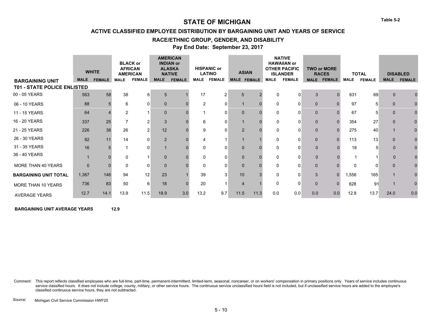**Table 5-2**

### **ACTIVE CLASSIFIED EMPLOYEE DISTRIBUTION BY BARGAINING UNIT AND YEARS OF SERVICE**

#### **RACE/ETHNIC GROUP, GENDER, AND DISABILITY**

**Pay End Date: September 23, 2017**

|                                    |             | <b>WHITE</b>  |                | <b>BLACK or</b><br><b>AFRICAN</b><br><b>AMERICAN</b> |              | <b>AMERICAN</b><br><b>INDIAN or</b><br><b>ALASKA</b><br><b>NATIVE</b> |                | <b>HISPANIC or</b><br><b>LATINO</b> | <b>ASIAN</b>   |      |             | <b>NATIVE</b><br><b>HAWAIIAN or</b><br><b>OTHER PACIFIC</b><br><b>ISLANDER</b> |              | <b>TWO or MORE</b><br><b>RACES</b> |             | <b>TOTAL</b>  |              | <b>DISABLED</b> |
|------------------------------------|-------------|---------------|----------------|------------------------------------------------------|--------------|-----------------------------------------------------------------------|----------------|-------------------------------------|----------------|------|-------------|--------------------------------------------------------------------------------|--------------|------------------------------------|-------------|---------------|--------------|-----------------|
| <b>BARGAINING UNIT</b>             | <b>MALE</b> | <b>FEMALE</b> | <b>MALE</b>    | <b>FEMALE</b>                                        | <b>MALE</b>  | <b>FEMALE</b>                                                         | <b>MALE</b>    | <b>FEMALE</b>                       | MALE FEMALE    |      | <b>MALE</b> | <b>FEMALE</b>                                                                  | <b>MALE</b>  | <b>FEMALE</b>                      | <b>MALE</b> | <b>FEMALE</b> | <b>MALE</b>  | <b>FEMALE</b>   |
| <b>T01 - STATE POLICE ENLISTED</b> |             |               |                |                                                      |              |                                                                       |                |                                     |                |      |             |                                                                                |              |                                    |             |               |              |                 |
| 00 - 05 YEARS                      | 563         | 58            | 38             | 6                                                    | 5            |                                                                       | 17             | 2                                   | 5              |      | 0           | $\Omega$                                                                       | 3            | 0                                  | 631         | 69            | $\Omega$     |                 |
| 06 - 10 YEARS                      | 88          |               | 6              | 0                                                    | $\mathbf{0}$ |                                                                       | $\overline{2}$ | 0                                   |                |      | 0           | 0                                                                              | $\Omega$     |                                    | 97          |               | $\Omega$     |                 |
| 11 - 15 YEARS                      | 64          |               | $\overline{2}$ |                                                      | $\mathbf{0}$ |                                                                       |                | 0                                   | $\Omega$       |      | 0           | $\Omega$                                                                       | $\mathbf 0$  |                                    | 67          |               | $\Omega$     |                 |
| 16 - 20 YEARS                      | 337         | 25            |                | $\overline{2}$                                       | 3            |                                                                       | 6              | 0                                   |                |      | $\Omega$    | $\Omega$                                                                       | $\mathbf{0}$ |                                    | 354         | 27            | $\Omega$     |                 |
| 21 - 25 YEARS                      | 226         | 38            | 26             | $\overline{2}$                                       | 12           |                                                                       | 9              | 0                                   | $\overline{2}$ |      | $\Omega$    | $\Omega$                                                                       | $\mathbf{0}$ |                                    | 275         | 40            |              | 0               |
| 26 - 30 YEARS                      | 92          | 11            | 14             | $\Omega$                                             | 2            |                                                                       |                |                                     |                |      | $\Omega$    | 0                                                                              | $\mathbf{0}$ |                                    | 113         | 13            | $\Omega$     |                 |
| 31 - 35 YEARS                      | 16          |               |                | 0                                                    |              |                                                                       | 0              | 0                                   | $\Omega$       |      | 0           | 0                                                                              | $\mathbf{0}$ |                                    | 18          |               | $\Omega$     |                 |
| 36 - 40 YEARS                      |             |               | $\Omega$       |                                                      | $\mathbf 0$  |                                                                       | 0              | 0                                   | $\Omega$       |      | $\Omega$    | 0                                                                              | $\mathbf{0}$ |                                    |             |               |              |                 |
| MORE THAN 40 YEARS                 | $\Omega$    |               | O              | $\Omega$                                             | $\mathbf{0}$ |                                                                       | 0              | 0                                   | $\Omega$       |      | O           | 0                                                                              | $\Omega$     |                                    |             |               | <sup>0</sup> |                 |
| <b>BARGAINING UNIT TOTAL</b>       | 1,387       | 146           | 94             | 12                                                   | 23           |                                                                       | 39             | 3                                   | 10             |      | 0           | 0                                                                              | 3            | 0                                  | 1,556       | 165           |              |                 |
| MORE THAN 10 YEARS                 | 736         | 83            | 50             | 6                                                    | 18           |                                                                       | 20             |                                     | $\overline{4}$ |      | 0           | 0                                                                              | $\Omega$     |                                    | 828         | 91            |              | 0               |
| <b>AVERAGE YEARS</b>               | 12.7        | 14.1          | 13.9           | 11.5                                                 | 18.9         | 3.0                                                                   | 13.2           | 9.7                                 | 11.5           | 11.3 | 0.0         | 0.0                                                                            | 0.0          | 0.0                                | 12.8        | 13.7          | 24.0         | 0.0             |

**BARGAINING UNIT AVERAGE YEARS 12.9** # # ##

Comment: This report reflects classified employees who are full-time, part-time, permanent-intermittent, limited-term, seasonal, noncareer, or on workers' compensation in primary positions only. Years of service includes c service classified hours. It does not include college, county, military, or other service hours. The continuous service unclassified hours field is not included, but if unclassified service hours are added to the employee' classified continuous service hours, they are not subtracted.

Source: Michigan Civil Service Commission HWF20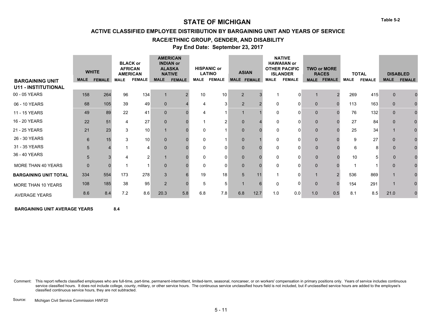**ACTIVE CLASSIFIED EMPLOYEE DISTRIBUTION BY BARGAINING UNIT AND YEARS OF SERVICE**

#### **RACE/ETHNIC GROUP, GENDER, AND DISABILITY**

**Pay End Date: September 23, 2017**

|                                                      |             | <b>WHITE</b>  |             | <b>BLACK or</b><br><b>AFRICAN</b><br><b>AMERICAN</b> |                | <b>AMERICAN</b><br><b>INDIAN or</b><br><b>ALASKA</b><br><b>NATIVE</b> |                | <b>HISPANIC or</b><br><b>LATINO</b> | <b>ASIAN</b>            |      |             | <b>NATIVE</b><br><b>HAWAIIAN or</b><br><b>OTHER PACIFIC</b><br><b>ISLANDER</b> |              | <b>TWO or MORE</b><br><b>RACES</b> |             | <b>TOTAL</b>  |             | <b>DISABLED</b> |
|------------------------------------------------------|-------------|---------------|-------------|------------------------------------------------------|----------------|-----------------------------------------------------------------------|----------------|-------------------------------------|-------------------------|------|-------------|--------------------------------------------------------------------------------|--------------|------------------------------------|-------------|---------------|-------------|-----------------|
| <b>BARGAINING UNIT</b><br><b>U11 - INSTITUTIONAL</b> | <b>MALE</b> | <b>FEMALE</b> | <b>MALE</b> | <b>FEMALE</b>                                        | <b>MALE</b>    | <b>FEMALE</b>                                                         | <b>MALE</b>    | <b>FEMALE</b>                       | MALE FEMALE             |      | <b>MALE</b> | <b>FEMALE</b>                                                                  | <b>MALE</b>  | <b>FEMALE</b>                      | <b>MALE</b> | <b>FEMALE</b> | <b>MALE</b> | <b>FEMALE</b>   |
| 00 - 05 YEARS                                        | 158         | 264           | 96          | 134                                                  |                |                                                                       | 10             | 10                                  | $\overline{2}$          |      |             | $\Omega$                                                                       |              | $\overline{2}$                     | 269         | 415           | $\Omega$    |                 |
| 06 - 10 YEARS                                        | 68          | 105           | 39          | 49                                                   | $\mathbf{0}$   |                                                                       | $\overline{4}$ | 3                                   | 2                       |      | $\Omega$    | 0                                                                              | $\Omega$     |                                    | 113         | 163           | $\Omega$    |                 |
| 11 - 15 YEARS                                        | 49          | 89            | 22          | 41                                                   | $\mathbf{0}$   |                                                                       |                |                                     |                         |      | 0           | $\Omega$                                                                       | 0            |                                    | 76          | 132           | $\mathbf 0$ |                 |
| 16 - 20 YEARS                                        | 22          | 51            |             | 27                                                   | $\mathbf{0}$   |                                                                       |                |                                     | $\Omega$                |      | $\Omega$    | $\Omega$                                                                       | $\Omega$     |                                    | 27          | 84            | $\Omega$    |                 |
| 21 - 25 YEARS                                        | 21          | 23            | 3           | 10                                                   | $\overline{1}$ |                                                                       | 0              |                                     | $\Omega$                |      | $\Omega$    | $\Omega$                                                                       | $\mathbf 0$  |                                    | 25          | 34            |             |                 |
| 26 - 30 YEARS                                        | 6           | 15            | 3           | 10                                                   | $\mathbf{0}$   |                                                                       | 0              |                                     | $\Omega$                |      | $\Omega$    | 0                                                                              | $\Omega$     |                                    | 9           | 27            | $\Omega$    |                 |
| 31 - 35 YEARS                                        | 5           |               |             | 4                                                    | $\mathbf{0}$   |                                                                       | 0              | 0                                   | $\Omega$                |      | 0           | 0                                                                              | $\mathbf{0}$ |                                    | 6           | 8             | $\Omega$    |                 |
| 36 - 40 YEARS                                        | 5           |               |             | 2                                                    |                |                                                                       | $\Omega$       | 0                                   | $\Omega$                |      | $\Omega$    | 0                                                                              | $\mathbf{0}$ |                                    | 10          |               | $\Omega$    |                 |
| MORE THAN 40 YEARS                                   | $\Omega$    |               |             |                                                      | $\Omega$       |                                                                       | $\Omega$       | 0                                   | $\Omega$                |      | $\Omega$    | O                                                                              | $\Omega$     |                                    |             |               | $\Omega$    |                 |
| <b>BARGAINING UNIT TOTAL</b>                         | 334         | 554           | 173         | 278                                                  | 3              |                                                                       | 19             | 18                                  | 5                       |      |             | 0                                                                              |              |                                    | 536         | 869           |             |                 |
| MORE THAN 10 YEARS                                   | 108         | 185           | 38          | 95                                                   | 2              |                                                                       | 5              | 5                                   | $\overline{\mathbf{1}}$ |      | $\Omega$    | 0                                                                              | $\Omega$     |                                    | 154         | 291           |             | 0               |
| <b>AVERAGE YEARS</b>                                 | 8.6         | 8.4           | 7.2         | 8.6                                                  | 20.3           | 5.8                                                                   | 6.8            | 7.8                                 | 6.8                     | 12.7 | 1.0         | 0.0                                                                            | 1.0          | 0.5                                | 8.1         | 8.5           | 21.0        |                 |

**BARGAINING UNIT AVERAGE YEARS**  $8.4$ 

Comment: This report reflects classified employees who are full-time, part-time, permanent-intermittent, limited-term, seasonal, noncareer, or on workers' compensation in primary positions only. Years of service includes c service classified hours. It does not include college, county, military, or other service hours. The continuous service unclassified hours field is not included, but if unclassified service hours are added to the employee' classified continuous service hours, they are not subtracted.

Source: Michigan Civil Service Commission HWF20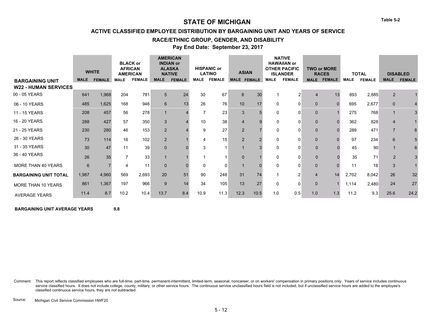**ACTIVE CLASSIFIED EMPLOYEE DISTRIBUTION BY BARGAINING UNIT AND YEARS OF SERVICE**

#### **RACE/ETHNIC GROUP, GENDER, AND DISABILITY**

**Pay End Date: September 23, 2017**

|                                                       |             | <b>WHITE</b>  |             | <b>BLACK or</b><br><b>AFRICAN</b><br><b>AMERICAN</b> |                 | <b>AMERICAN</b><br><b>INDIAN or</b><br><b>ALASKA</b><br><b>NATIVE</b> |             | <b>HISPANIC or</b><br><b>LATINO</b> |                | <b>ASIAN</b>       |             | <b>NATIVE</b><br><b>HAWAIIAN or</b><br><b>OTHER PACIFIC</b><br><b>ISLANDER</b> |                | <b>TWO or MORE</b><br><b>RACES</b> |             | <b>TOTAL</b>  |                | <b>DISABLED</b> |
|-------------------------------------------------------|-------------|---------------|-------------|------------------------------------------------------|-----------------|-----------------------------------------------------------------------|-------------|-------------------------------------|----------------|--------------------|-------------|--------------------------------------------------------------------------------|----------------|------------------------------------|-------------|---------------|----------------|-----------------|
| <b>BARGAINING UNIT</b><br><b>W22 - HUMAN SERVICES</b> | <b>MALE</b> | <b>FEMALE</b> | <b>MALE</b> | <b>FEMALE</b>                                        | <b>MALE</b>     | <b>FEMALE</b>                                                         | <b>MALE</b> | <b>FEMALE</b>                       |                | <b>MALE FEMALE</b> | <b>MALE</b> | <b>FEMALE</b>                                                                  | <b>MALE</b>    | <b>FEMALE</b>                      | <b>MALE</b> | <b>FEMALE</b> | <b>MALE</b>    | <b>FEMALE</b>   |
| 00 - 05 YEARS                                         | 641         | 1,968         | 204         | 781                                                  | 5               | 24                                                                    | 30          | 67                                  | 8              | 30                 |             | 2                                                                              | $\overline{4}$ | 13                                 | 893         | 2,885         | 2              |                 |
| 06 - 10 YEARS                                         | 485         | 1,625         | 168         | 946                                                  | $6\overline{6}$ | 13                                                                    | 26          | 76                                  | 10             | 17                 | O           | 0                                                                              | $\mathbf{0}$   |                                    | 695         | 2,677         | $\Omega$       |                 |
| 11 - 15 YEARS                                         | 208         | 457           | 56          | 278                                                  |                 |                                                                       | 7           | 23                                  | 3              |                    | 0           | 0                                                                              | $\mathbf 0$    |                                    | 275         | 768           |                |                 |
| 16 - 20 YEARS                                         | 288         | 427           | 57          | 350                                                  | 3               |                                                                       | 10          | 38                                  | $\overline{4}$ |                    | $\Omega$    | $\Omega$                                                                       | $\mathbf{0}$   |                                    | 362         | 828           | $\overline{4}$ |                 |
| 21 - 25 YEARS                                         | 230         | 280           | 46          | 153                                                  | $\overline{2}$  |                                                                       | 9           | 27                                  | 2              |                    | $\Omega$    | $\Omega$                                                                       | $\mathbf{0}$   |                                    | 289         | 471           | $\overline{7}$ |                 |
| 26 - 30 YEARS                                         | 73          | 114           | 16          | 102                                                  | $\overline{2}$  |                                                                       | 4           | 15                                  | 2              |                    | 0           | 0                                                                              | $\mathbf{0}$   |                                    | 97          | 234           | 6              |                 |
| 31 - 35 YEARS                                         | 30          | 47            | 11          | 39                                                   | $\mathbf{0}$    |                                                                       | 3           |                                     |                |                    | $\Omega$    | 0                                                                              | $\mathbf{0}$   |                                    | 45          | 90            |                |                 |
| 36 - 40 YEARS                                         | 26          | 35            |             | 33                                                   |                 |                                                                       |             |                                     | $\Omega$       |                    | $\Omega$    | 0                                                                              | $\mathbf{0}$   |                                    | 35          | 71            | $\overline{2}$ |                 |
| MORE THAN 40 YEARS                                    | 6           |               |             | 11                                                   | $\mathbf{0}$    |                                                                       | 0           | 0                                   |                |                    | O           | 0                                                                              | $\Omega$       |                                    | 11          | 18            | 3              |                 |
| <b>BARGAINING UNIT TOTAL</b>                          | 1,987       | 4,960         | 569         | 2,693                                                | 20              | 51                                                                    | 90          | 248                                 | 31             | 74                 |             | 2                                                                              | $\overline{4}$ | 14                                 | 2,702       | 8,042         | 26             | 32              |
| MORE THAN 10 YEARS                                    | 861         | 1,367         | 197         | 966                                                  | 9               | 14                                                                    | 34          | 105                                 | 13             | 27                 | 0           | $\Omega$                                                                       | $\mathbf 0$    |                                    | 1,114       | 2,480         | 24             | 27              |
| <b>AVERAGE YEARS</b>                                  | 11.4        | 8.7           | 10.2        | 10.4                                                 | 13.7            | 8.4                                                                   | 10.9        | 11.3                                | 12.3           | 10.5               | 1.0         | 0.5                                                                            | 1.0            | 1.3                                | 11.2        | 9.3           | 25.6           | 24.2            |

**BARGAINING UNIT AVERAGE YEARS**  $9.8$ 

Comment: This report reflects classified employees who are full-time, part-time, permanent-intermittent, limited-term, seasonal, noncareer, or on workers' compensation in primary positions only. Years of service includes c service classified hours. It does not include college, county, military, or other service hours. The continuous service unclassified hours field is not included, but if unclassified service hours are added to the employee' classified continuous service hours, they are not subtracted.

Source: Michigan Civil Service Commission HWF20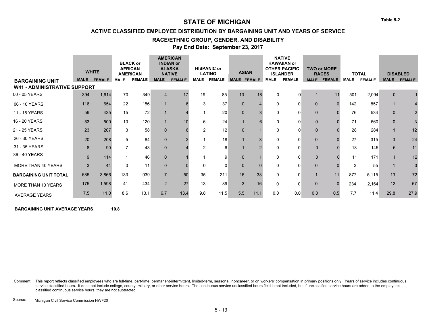**ACTIVE CLASSIFIED EMPLOYEE DISTRIBUTION BY BARGAINING UNIT AND YEARS OF SERVICE**

#### **RACE/ETHNIC GROUP, GENDER, AND DISABILITY**

**Pay End Date: September 23, 2017**

|                                     |             | <b>WHITE</b>  |             | <b>BLACK or</b><br><b>AFRICAN</b><br><b>AMERICAN</b> |                | <b>AMERICAN</b><br><b>INDIAN or</b><br><b>ALASKA</b><br><b>NATIVE</b> |                | <b>HISPANIC or</b><br><b>LATINO</b> |                    | <b>ASIAN</b> |             | <b>NATIVE</b><br><b>HAWAIIAN or</b><br><b>OTHER PACIFIC</b><br><b>ISLANDER</b> |                | <b>TWO or MORE</b><br><b>RACES</b> |             | <b>TOTAL</b>  |             | <b>DISABLED</b> |
|-------------------------------------|-------------|---------------|-------------|------------------------------------------------------|----------------|-----------------------------------------------------------------------|----------------|-------------------------------------|--------------------|--------------|-------------|--------------------------------------------------------------------------------|----------------|------------------------------------|-------------|---------------|-------------|-----------------|
| <b>BARGAINING UNIT</b>              | <b>MALE</b> | <b>FEMALE</b> | <b>MALE</b> | <b>FEMALE</b>                                        | <b>MALE</b>    | <b>FEMALE</b>                                                         | <b>MALE</b>    | <b>FEMALE</b>                       | <b>MALE FEMALE</b> |              | <b>MALE</b> | <b>FEMALE</b>                                                                  | <b>MALE</b>    | <b>FEMALE</b>                      | <b>MALE</b> | <b>FEMALE</b> | <b>MALE</b> | <b>FEMALE</b>   |
| <b>W41 - ADMINISTRATIVE SUPPORT</b> |             |               |             |                                                      |                |                                                                       |                |                                     |                    |              |             |                                                                                |                |                                    |             |               |             |                 |
| 00 - 05 YEARS                       | 394         | 1,614         | 70          | 349                                                  | $\overline{4}$ | 17                                                                    | 19             | 85                                  | 13                 | 18           | 0           | $\Omega$                                                                       |                |                                    | 501         | 2,094         | $\Omega$    |                 |
| 06 - 10 YEARS                       | 116         | 654           | 22          | 156                                                  |                |                                                                       | 3              | 37                                  | $\mathbf{0}$       |              | 0           | 0                                                                              | $\mathbf 0$    | U                                  | 142         | 857           |             |                 |
| 11 - 15 YEARS                       | 59          | 435           | 15          | 72                                                   |                |                                                                       |                | 20                                  | $\Omega$           |              | 0           | 0                                                                              | $\mathbf 0$    |                                    | 76          | 534           | $\Omega$    |                 |
| 16 - 20 YEARS                       | 53          | 500           | 10          | 120                                                  | $\overline{1}$ | 10 <sup>1</sup>                                                       | 6              | 24                                  |                    |              | $\Omega$    | $\Omega$                                                                       | $\mathbf 0$    |                                    | 71          | 660           | $\Omega$    |                 |
| 21 - 25 YEARS                       | 23          | 207           | 3           | 58                                                   | $\mathbf{0}$   |                                                                       | $\overline{2}$ | 12                                  | $\Omega$           |              | $\Omega$    | $\Omega$                                                                       | $\mathbf 0$    |                                    | 28          | 284           |             | 12              |
| 26 - 30 YEARS                       | 20          | 208           | 5           | 84                                                   | $\mathbf{0}$   |                                                                       |                | 18                                  |                    |              | 0           | 0                                                                              | $\mathbf{0}$   |                                    | 27          | 315           | 3           | 24              |
| 31 - 35 YEARS                       | 8           | 90            |             | 43                                                   | $\mathbf{0}$   |                                                                       | $\mathfrak{p}$ | 6                                   |                    |              | 0           | 0                                                                              | $\Omega$       |                                    | 18          | 145           | 6           | 11              |
| 36 - 40 YEARS                       | 9           | 114           |             | 46                                                   | $\mathbf{0}$   |                                                                       |                | 9                                   | $\Omega$           |              | 0           | 0                                                                              | $\overline{0}$ |                                    | 11          | 171           |             | 12              |
| MORE THAN 40 YEARS                  | 3           | 44            | O           | 11                                                   | $\mathbf 0$    |                                                                       | 0              | 0                                   | $\Omega$           |              | 0           | 0                                                                              | $\mathbf 0$    |                                    | 3           | 55            |             |                 |
| <b>BARGAINING UNIT TOTAL</b>        | 685         | 3,866         | 133         | 939                                                  | $\overline{7}$ | 50                                                                    | 35             | 211                                 | 16                 | 38           | 0           | 0                                                                              |                |                                    | 877         | 5,115         | 13          | 72              |
| MORE THAN 10 YEARS                  | 175         | 1,598         | 41          | 434                                                  | 2              | 27                                                                    | 13             | 89                                  | 3                  | 16           | O           | 0                                                                              | $\mathbf 0$    |                                    | 234         | 2,164         | 12          | 67              |
| <b>AVERAGE YEARS</b>                | 7.5         | 11.0          | 8.6         | 13.1                                                 | 6.7            | 13.4                                                                  | 9.8            | 11.5                                | 5.5                | 11.1         | 0.0         | 0.0                                                                            | 0.0            | 0.5                                | 7.7         | 11.4          | 29.8        | 27.9            |

**BARGAINING UNIT AVERAGE YEARS**  $10.8$ 

Comment: This report reflects classified employees who are full-time, part-time, permanent-intermittent, limited-term, seasonal, noncareer, or on workers' compensation in primary positions only. Years of service includes c service classified hours. It does not include college, county, military, or other service hours. The continuous service unclassified hours field is not included, but if unclassified service hours are added to the employee' classified continuous service hours, they are not subtracted.

Source: Michigan Civil Service Commission HWF20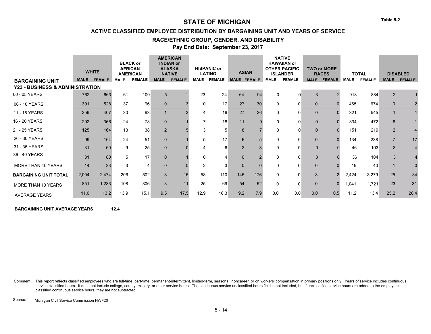**ACTIVE CLASSIFIED EMPLOYEE DISTRIBUTION BY BARGAINING UNIT AND YEARS OF SERVICE**

#### **RACE/ETHNIC GROUP, GENDER, AND DISABILITY**

**Pay End Date: September 23, 2017**

|                                            |             | <b>WHITE</b>  |             | <b>BLACK or</b><br><b>AFRICAN</b><br><b>AMERICAN</b> |              | <b>AMERICAN</b><br><b>INDIAN or</b><br><b>ALASKA</b><br><b>NATIVE</b> |             | <b>HISPANIC or</b><br><b>LATINO</b> |             | <b>ASIAN</b>       |             | <b>NATIVE</b><br><b>HAWAIIAN or</b><br><b>OTHER PACIFIC</b><br><b>ISLANDER</b> |              | <b>TWO or MORE</b><br><b>RACES</b> |             | <b>TOTAL</b>  |                | <b>DISABLED</b> |
|--------------------------------------------|-------------|---------------|-------------|------------------------------------------------------|--------------|-----------------------------------------------------------------------|-------------|-------------------------------------|-------------|--------------------|-------------|--------------------------------------------------------------------------------|--------------|------------------------------------|-------------|---------------|----------------|-----------------|
| <b>BARGAINING UNIT</b>                     | <b>MALE</b> | <b>FEMALE</b> | <b>MALE</b> | <b>FEMALE</b>                                        | <b>MALE</b>  | <b>FEMALE</b>                                                         | <b>MALE</b> | <b>FEMALE</b>                       |             | <b>MALE FEMALE</b> | <b>MALE</b> | <b>FEMALE</b>                                                                  | <b>MALE</b>  | <b>FEMALE</b>                      | <b>MALE</b> | <b>FEMALE</b> | <b>MALE</b>    | <b>FEMALE</b>   |
| <b>Y23 - BUSINESS &amp; ADMINISTRATION</b> |             |               |             |                                                      |              |                                                                       |             |                                     |             |                    |             |                                                                                |              |                                    |             |               |                |                 |
| 00 - 05 YEARS                              | 762         | 663           | 61          | 100                                                  | 5            |                                                                       | 23          | 24                                  | 64          | 94                 | 0           | $\Omega$                                                                       | 3            | $\mathcal{P}$                      | 918         | 884           | 2              |                 |
| 06 - 10 YEARS                              | 391         | 528           | 37          | 96                                                   | $\mathbf 0$  |                                                                       | 10          | 17                                  | 27          | 30                 | 0           | 0                                                                              | $\mathbf 0$  |                                    | 465         | 674           | $\Omega$       |                 |
| 11 - 15 YEARS                              | 259         | 407           | 30          | 93                                                   |              |                                                                       | 4           | 16                                  | 27          | 26                 | 0           | 0                                                                              | $\mathbf 0$  |                                    | 321         | 545           |                |                 |
| 16 - 20 YEARS                              | 292         | 366           | 24          | 78                                                   | $\mathbf{0}$ |                                                                       | 7           | 18                                  | 11          |                    | $\Omega$    | $\Omega$                                                                       | $\mathbf 0$  |                                    | 334         | 472           | 6              |                 |
| 21 - 25 YEARS                              | 125         | 164           | 13          | 38                                                   | 2            |                                                                       | 3           |                                     | 8           |                    | $\Omega$    | $\Omega$                                                                       | $\mathbf 0$  |                                    | 151         | 219           | $\overline{2}$ | 4               |
| 26 - 30 YEARS                              | 99          | 164           | 24          | 51                                                   | $\mathbf{0}$ |                                                                       | 5           | 17                                  | 6           |                    | 0           | 0                                                                              | $\mathbf{0}$ |                                    | 134         | 238           |                | 17              |
| 31 - 35 YEARS                              | 31          | 69            | 9           | 25                                                   | $\mathbf{0}$ |                                                                       | 4           | 6                                   | 2           |                    | 0           | 0                                                                              | $\Omega$     |                                    | 46          | 103           | 3              |                 |
| 36 - 40 YEARS                              | 31          | 80            |             | 17                                                   | $\mathbf{0}$ |                                                                       | 0           |                                     | $\Omega$    |                    | 0           | 0                                                                              | $\mathbf{0}$ |                                    | 36          | 104           |                |                 |
| MORE THAN 40 YEARS                         | 14          | 33            | 3           | $\overline{4}$                                       | $\mathbf 0$  |                                                                       | 2           | 3                                   | $\mathbf 0$ |                    | 0           | 0                                                                              | $\mathbf 0$  |                                    | 19          | 40            |                |                 |
| <b>BARGAINING UNIT TOTAL</b>               | 2,004       | 2,474         | 206         | 502                                                  | 8            | 15                                                                    | 58          | 110                                 | 145         | 176                | O           | 0                                                                              | 3            |                                    | 2,424       | 3,279         | 25             | 34              |
| MORE THAN 10 YEARS                         | 851         | 1,283         | 108         | 306                                                  | 3            | 11                                                                    | 25          | 69                                  | 54          | 52                 | O           | 0                                                                              | $\mathbf 0$  |                                    | 1,041       | 1,721         | 23             | 31              |
| <b>AVERAGE YEARS</b>                       | 11.0        | 13.2          | 13.9        | 15.1                                                 | 9.5          | 17.5                                                                  | 12.9        | 16.3                                | 9.2         | 7.9                | 0.0         | 0.0                                                                            | 0.0          | 0.5                                | 11.2        | 13.4          | 25.2           | 26.4            |

**BARGAINING UNIT AVERAGE YEARS 12.4** 

Comment: This report reflects classified employees who are full-time, part-time, permanent-intermittent, limited-term, seasonal, noncareer, or on workers' compensation in primary positions only. Years of service includes c service classified hours. It does not include college, county, military, or other service hours. The continuous service unclassified hours field is not included, but if unclassified service hours are added to the employee' classified continuous service hours, they are not subtracted.

Source: Michigan Civil Service Commission HWF20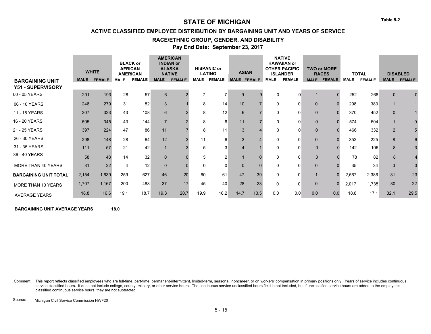**ACTIVE CLASSIFIED EMPLOYEE DISTRIBUTION BY BARGAINING UNIT AND YEARS OF SERVICE**

#### **RACE/ETHNIC GROUP, GENDER, AND DISABILITY**

**Pay End Date: September 23, 2017**

|                                             |             | <b>WHITE</b>  |             | <b>BLACK or</b><br><b>AFRICAN</b><br><b>AMERICAN</b> |                | <b>AMERICAN</b><br><b>INDIAN or</b><br><b>ALASKA</b><br><b>NATIVE</b> |                          | <b>HISPANIC or</b><br><b>LATINO</b> |                | <b>ASIAN</b>       |             | <b>NATIVE</b><br><b>HAWAIIAN or</b><br><b>OTHER PACIFIC</b><br><b>ISLANDER</b> |              | <b>TWO or MORE</b><br><b>RACES</b> |             | <b>TOTAL</b>  |                | <b>DISABLED</b> |
|---------------------------------------------|-------------|---------------|-------------|------------------------------------------------------|----------------|-----------------------------------------------------------------------|--------------------------|-------------------------------------|----------------|--------------------|-------------|--------------------------------------------------------------------------------|--------------|------------------------------------|-------------|---------------|----------------|-----------------|
| <b>BARGAINING UNIT</b><br>Y51 - SUPERVISORY | <b>MALE</b> | <b>FEMALE</b> | <b>MALE</b> | <b>FEMALE</b>                                        | <b>MALE</b>    | <b>FEMALE</b>                                                         | <b>MALE</b>              | <b>FEMALE</b>                       |                | <b>MALE FEMALE</b> | <b>MALE</b> | <b>FEMALE</b>                                                                  | <b>MALE</b>  | <b>FEMALE</b>                      | <b>MALE</b> | <b>FEMALE</b> | <b>MALE</b>    | <b>FEMALE</b>   |
| 00 - 05 YEARS                               | 201         | 193           | 28          | 57                                                   | 6              | c                                                                     | $\overline{\phantom{a}}$ |                                     | 9              |                    | $\Omega$    | 0                                                                              |              |                                    | 252         | 268           | $\Omega$       |                 |
| 06 - 10 YEARS                               | 246         | 279           | 31          | 82                                                   | 3              |                                                                       | 8                        | 14                                  | 10             |                    | 0           | 0                                                                              | $\mathbf 0$  | n                                  | 298         | 383           |                |                 |
| 11 - 15 YEARS                               | 307         | 323           | 43          | 108                                                  | 6              |                                                                       | 8                        | 12                                  | 6              |                    | 0           | 0                                                                              | $\mathbf 0$  |                                    | 370         | 452           | $\mathbf 0$    |                 |
| 16 - 20 YEARS                               | 505         | 345           | 43          | 144                                                  | $\overline{7}$ |                                                                       | 8                        | 6                                   | 11             |                    | 0           | 0                                                                              | $\mathbf 0$  |                                    | 574         | 504           |                | 0               |
| 21 - 25 YEARS                               | 397         | 224           | 47          | 86                                                   | 11             |                                                                       | 8                        | 11                                  | 3              |                    | 0           | 0                                                                              | $\mathbf 0$  |                                    | 466         | 332           | $\overline{2}$ |                 |
| 26 - 30 YEARS                               | 298         | 148           | 28          | 64                                                   | 12             |                                                                       | 11                       | 6                                   | 3              |                    | 0           | 0                                                                              | $\mathbf{0}$ |                                    | 352         | 225           | 8              |                 |
| 31 - 35 YEARS                               | 111         | 57            | 21          | 42                                                   | $\mathbf{1}$   |                                                                       | 5                        | 3                                   | $\overline{4}$ |                    | 0           | 0                                                                              | $\mathbf{0}$ |                                    | 142         | 106           | 8              |                 |
| 36 - 40 YEARS                               | 58          | 48            | 14          | 32                                                   | $\mathbf{0}$   |                                                                       | 5                        |                                     |                |                    | 0           |                                                                                | $\mathbf{0}$ |                                    | 78          | 82            | 8              |                 |
| MORE THAN 40 YEARS                          | 31          | 22            |             | 12                                                   | $\mathbf{0}$   |                                                                       | $\mathbf 0$              | 0                                   | $\Omega$       |                    |             | 0                                                                              | $\mathbf 0$  |                                    | 35          | 34            | 3              | 3               |
| <b>BARGAINING UNIT TOTAL</b>                | 2,154       | 1,639         | 259         | 627                                                  | 46             | 20                                                                    | 60                       | 61                                  | 47             | 39                 | 0           | 0                                                                              |              |                                    | 2,567       | 2,386         | 31             | 23              |
| <b>MORE THAN 10 YEARS</b>                   | 1,707       | 1,167         | 200         | 488                                                  | 37             | 17                                                                    | 45                       | 40                                  | 28             | 23                 |             | 0                                                                              | $\mathbf 0$  | $\Omega$                           | 2,017       | 1,735         | 30             | 22              |
| <b>AVERAGE YEARS</b>                        | 18.8        | 16.6          | 19.1        | 18.7                                                 | 19.3           | 20.7                                                                  | 19.9                     | 16.2                                | 14.7           | 13.5               | 0.0         | 0.0                                                                            | 0.0          | 0.0                                | 18.8        | 17.1          | 32.1           | 29.5            |

**BARGAINING UNIT AVERAGE YEARS 18.0** 

Comment: This report reflects classified employees who are full-time, part-time, permanent-intermittent, limited-term, seasonal, noncareer, or on workers' compensation in primary positions only. Years of service includes c service classified hours. It does not include college, county, military, or other service hours. The continuous service unclassified hours field is not included, but if unclassified service hours are added to the employee' classified continuous service hours, they are not subtracted.

Source: Michigan Civil Service Commission HWF20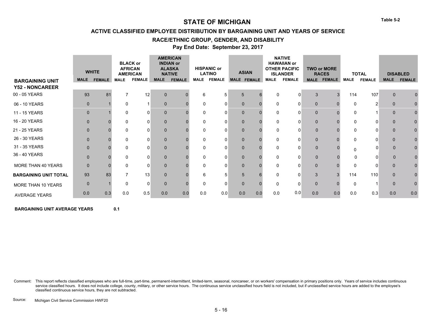**ACTIVE CLASSIFIED EMPLOYEE DISTRIBUTION BY BARGAINING UNIT AND YEARS OF SERVICE**

#### **RACE/ETHNIC GROUP, GENDER, AND DISABILITY**

**Pay End Date: September 23, 2017**

|                                                  |              | <b>WHITE</b>  |             | <b>BLACK or</b><br><b>AFRICAN</b><br><b>AMERICAN</b> |              | <b>AMERICAN</b><br><b>INDIAN or</b><br><b>ALASKA</b><br><b>NATIVE</b> |             | <b>HISPANIC or</b><br><b>LATINO</b> | <b>ASIAN</b> |     |             | <b>NATIVE</b><br><b>HAWAIIAN or</b><br><b>OTHER PACIFIC</b><br><b>ISLANDER</b> |              | <b>TWO or MORE</b><br><b>RACES</b> |             | <b>TOTAL</b>  |             | <b>DISABLED</b> |
|--------------------------------------------------|--------------|---------------|-------------|------------------------------------------------------|--------------|-----------------------------------------------------------------------|-------------|-------------------------------------|--------------|-----|-------------|--------------------------------------------------------------------------------|--------------|------------------------------------|-------------|---------------|-------------|-----------------|
| <b>BARGAINING UNIT</b><br><b>Y52 - NONCAREER</b> | <b>MALE</b>  | <b>FEMALE</b> | <b>MALE</b> | <b>FEMALE</b>                                        | <b>MALE</b>  | <b>FEMALE</b>                                                         | <b>MALE</b> | <b>FEMALE</b>                       | MALE FEMALE  |     | <b>MALE</b> | <b>FEMALE</b>                                                                  | <b>MALE</b>  | <b>FEMALE</b>                      | <b>MALE</b> | <b>FEMALE</b> | <b>MALE</b> | <b>FEMALE</b>   |
| 00 - 05 YEARS                                    | 93           | 81            |             | 12                                                   | $\mathbf 0$  |                                                                       | 6           | 5                                   | 5            |     | 0           | $\Omega$                                                                       | 3            | 3                                  | 114         | 107           | $\Omega$    |                 |
| 06 - 10 YEARS                                    | $\mathbf{0}$ |               | $\Omega$    |                                                      | $\mathbf{0}$ |                                                                       | 0           | 0                                   | $\Omega$     |     | $\Omega$    | 0                                                                              | $\Omega$     |                                    | $\Omega$    |               | $\Omega$    |                 |
| 11 - 15 YEARS                                    | $\mathbf{0}$ |               | $\Omega$    | $\Omega$                                             | $\mathbf{0}$ |                                                                       | 0           | 0                                   | $\mathbf{0}$ |     | 0           | 0                                                                              | $\mathbf 0$  |                                    | $\Omega$    |               | $\Omega$    |                 |
| 16 - 20 YEARS                                    | $\Omega$     |               | $\Omega$    | $\Omega$                                             | $\mathbf{0}$ |                                                                       | 0           | 0                                   | $\Omega$     |     | $\Omega$    | O                                                                              | $\Omega$     |                                    | $\Omega$    |               | $\Omega$    |                 |
| 21 - 25 YEARS                                    | $\mathbf{0}$ |               | $\Omega$    | $\Omega$                                             | $\mathbf{0}$ |                                                                       | 0           | 0                                   | $\Omega$     |     | $\Omega$    | $\Omega$                                                                       | $\mathbf{0}$ |                                    | $\Omega$    |               | $\Omega$    |                 |
| 26 - 30 YEARS                                    | $\Omega$     |               | $\Omega$    | $\Omega$                                             | $\mathbf{0}$ |                                                                       | 0           | 0                                   | $\Omega$     |     | $\Omega$    | 0                                                                              | $\mathbf{0}$ |                                    |             |               | $\Omega$    |                 |
| 31 - 35 YEARS                                    | $\Omega$     |               | $\Omega$    | $\Omega$                                             | $\mathbf{0}$ |                                                                       | 0           | 0                                   | $\mathbf{0}$ |     | $\Omega$    | 0                                                                              | $\mathbf{0}$ |                                    |             |               | $\Omega$    |                 |
| 36 - 40 YEARS                                    | $\Omega$     |               | $\Omega$    | $\Omega$                                             | $\mathbf{0}$ |                                                                       | $\Omega$    | 0                                   | $\mathbf{0}$ |     | $\Omega$    | O                                                                              | $\mathbf{0}$ |                                    | O           |               | $\Omega$    |                 |
| MORE THAN 40 YEARS                               | $\Omega$     |               | $\Omega$    | $\Omega$                                             | $\mathbf{0}$ |                                                                       | O           | 0                                   | $\Omega$     |     | $\Omega$    | O                                                                              | $\Omega$     |                                    |             |               | $\Omega$    |                 |
| <b>BARGAINING UNIT TOTAL</b>                     | 93           | 83            |             | 13                                                   | $\mathbf 0$  |                                                                       | 6           | 5                                   | 5            |     | 0           | 0                                                                              | 3            |                                    | 114         | 110           | $\mathbf 0$ |                 |
| MORE THAN 10 YEARS                               | $\mathbf{0}$ |               | O           | $\Omega$                                             | $\mathbf{0}$ |                                                                       | $\Omega$    | 0                                   | $\Omega$     |     | $\Omega$    | $\Omega$                                                                       | $\Omega$     |                                    | $\Omega$    |               | $\Omega$    | $\Omega$        |
| <b>AVERAGE YEARS</b>                             | 0.0          | 0.3           | 0.0         | 0.5                                                  | 0.0          | 0.0                                                                   | 0.0         | 0.0                                 | 0.0          | 0.0 | 0.0         | 0.0                                                                            | 0.0          | 0.0                                | 0.0         | 0.3           | 0.0         | 0.0             |

**BARGAINING UNIT AVERAGE YEARS**  $0.1$ 

Comment: This report reflects classified employees who are full-time, part-time, permanent-intermittent, limited-term, seasonal, noncareer, or on workers' compensation in primary positions only. Years of service includes c service classified hours. It does not include college, county, military, or other service hours. The continuous service unclassified hours field is not included, but if unclassified service hours are added to the employee' classified continuous service hours, they are not subtracted.

Source: Michigan Civil Service Commission HWF20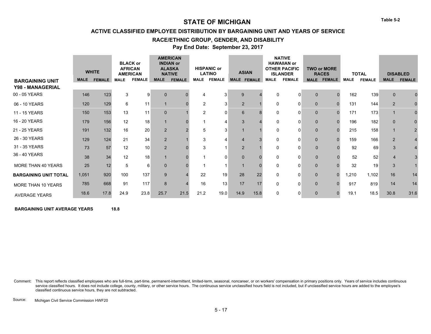**ACTIVE CLASSIFIED EMPLOYEE DISTRIBUTION BY BARGAINING UNIT AND YEARS OF SERVICE**

#### **RACE/ETHNIC GROUP, GENDER, AND DISABILITY**

**Pay End Date: September 23, 2017**

|                                                   |             | <b>WHITE</b>  |             | <b>BLACK or</b><br><b>AFRICAN</b><br><b>AMERICAN</b> |                | <b>AMERICAN</b><br><b>INDIAN or</b><br><b>ALASKA</b><br><b>NATIVE</b> |                | <b>HISPANIC or</b><br><b>LATINO</b> |                    | <b>ASIAN</b> |             | <b>NATIVE</b><br><b>HAWAIIAN or</b><br><b>OTHER PACIFIC</b><br><b>ISLANDER</b> |              | <b>TWO or MORE</b><br><b>RACES</b> |             | <b>TOTAL</b>  |                | <b>DISABLED</b> |
|---------------------------------------------------|-------------|---------------|-------------|------------------------------------------------------|----------------|-----------------------------------------------------------------------|----------------|-------------------------------------|--------------------|--------------|-------------|--------------------------------------------------------------------------------|--------------|------------------------------------|-------------|---------------|----------------|-----------------|
| <b>BARGAINING UNIT</b><br><b>Y98 - MANAGERIAL</b> | <b>MALE</b> | <b>FEMALE</b> | <b>MALE</b> | <b>FEMALE</b>                                        | <b>MALE</b>    | <b>FEMALE</b>                                                         | <b>MALE</b>    | <b>FEMALE</b>                       | <b>MALE FEMALE</b> |              | <b>MALE</b> | <b>FEMALE</b>                                                                  | <b>MALE</b>  | <b>FEMALE</b>                      | <b>MALE</b> | <b>FEMALE</b> | <b>MALE</b>    | <b>FEMALE</b>   |
| 00 - 05 YEARS                                     | 146         | 123           | 3           | 9                                                    | $\mathbf{0}$   |                                                                       | 4              | 3                                   | 9                  |              | 0           | 0                                                                              | $\mathbf{0}$ |                                    | 162         | 139           | $\Omega$       |                 |
| 06 - 10 YEARS                                     | 120         | 129           | 6           | 11                                                   |                |                                                                       | $\overline{2}$ | 3                                   | $\overline{2}$     |              | 0           | 0                                                                              | $\mathbf 0$  |                                    | 131         | 144           | $\overline{2}$ |                 |
| 11 - 15 YEARS                                     | 150         | 153           | 13          | 11                                                   | $\mathbf{0}$   |                                                                       | 2              | 0                                   | 6                  |              | 0           | 0                                                                              | $\mathbf 0$  |                                    | 171         | 173           |                |                 |
| 16 - 20 YEARS                                     | 179         | 156           | 12          | 18                                                   | $\mathbf{1}$   |                                                                       |                |                                     | 3                  |              | 0           | 0                                                                              | $\mathbf 0$  |                                    | 196         | 182           | $\Omega$       |                 |
| 21 - 25 YEARS                                     | 191         | 132           | 16          | 20                                                   | $\overline{2}$ |                                                                       | 5              | 3                                   |                    |              | 0           | 0                                                                              | $\mathbf 0$  |                                    | 215         | 158           |                |                 |
| 26 - 30 YEARS                                     | 129         | 124           | 21          | 34                                                   | $\overline{2}$ |                                                                       | 3              |                                     | $\overline{4}$     |              | 0           | 0                                                                              | $\mathbf 0$  |                                    | 159         | 166           | $\overline{2}$ |                 |
| 31 - 35 YEARS                                     | 73          | 57            | 12          | 10                                                   | $\overline{2}$ |                                                                       | 3              |                                     | $\overline{2}$     |              | 0           | 0                                                                              | $\mathbf{0}$ |                                    | 92          | 69            | 3              |                 |
| 36 - 40 YEARS                                     | 38          | 34            | 12          | 18                                                   |                |                                                                       |                | O                                   | $\Omega$           |              | U           |                                                                                | $\mathbf{0}$ |                                    | 52          | 52            |                |                 |
| MORE THAN 40 YEARS                                | 25          | 12            | 5           | 6                                                    | $\Omega$       |                                                                       |                |                                     |                    |              | 0           | 0                                                                              | $\mathbf 0$  |                                    | 32          | 19            | 3              |                 |
| <b>BARGAINING UNIT TOTAL</b>                      | 1,051       | 920           | 100         | 137                                                  | 9              |                                                                       | 22             | 19                                  | 28                 | 22           | U           | 0                                                                              | $\mathbf 0$  | U                                  | 1,210       | 1,102         | 16             | 14              |
| MORE THAN 10 YEARS                                | 785         | 668           | 91          | 117                                                  | 8              |                                                                       | 16             | 13                                  | 17                 | 17           |             | 0                                                                              | $\mathbf 0$  |                                    | 917         | 819           | 14             | 14              |
| <b>AVERAGE YEARS</b>                              | 18.6        | 17.8          | 24.9        | 23.8                                                 | 25.7           | 21.5                                                                  | 21.2           | 19.0                                | 14.9               | 15.8         | 0           | 0                                                                              | $\mathbf 0$  | 0                                  | 19.1        | 18.5          | 30.8           | 31.6            |

**BARGAINING UNIT AVERAGE YEARS 18.8** 

Comment: This report reflects classified employees who are full-time, part-time, permanent-intermittent, limited-term, seasonal, noncareer, or on workers' compensation in primary positions only. Years of service includes c service classified hours. It does not include college, county, military, or other service hours. The continuous service unclassified hours field is not included, but if unclassified service hours are added to the employee' classified continuous service hours, they are not subtracted.

Source: Michigan Civil Service Commission HWF20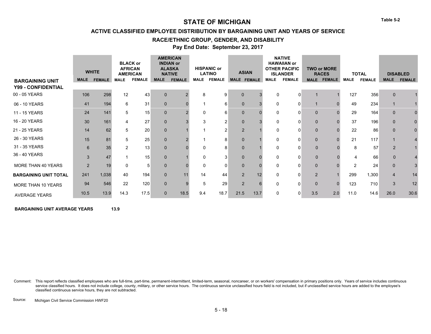**ACTIVE CLASSIFIED EMPLOYEE DISTRIBUTION BY BARGAINING UNIT AND YEARS OF SERVICE**

#### **RACE/ETHNIC GROUP, GENDER, AND DISABILITY**

**Pay End Date: September 23, 2017**

|                                              |                | <b>WHITE</b> |             | <b>BLACK or</b><br><b>AFRICAN</b><br><b>AMERICAN</b> |              | <b>AMERICAN</b><br><b>INDIAN or</b><br><b>ALASKA</b><br><b>NATIVE</b> |             | <b>HISPANIC or</b><br><b>LATINO</b> |                | <b>ASIAN</b> |             | <b>NATIVE</b><br><b>HAWAIIAN or</b><br><b>OTHER PACIFIC</b><br><b>ISLANDER</b> |                | <b>TWO or MORE</b><br><b>RACES</b> |             | <b>TOTAL</b>  |                | <b>DISABLED</b> |
|----------------------------------------------|----------------|--------------|-------------|------------------------------------------------------|--------------|-----------------------------------------------------------------------|-------------|-------------------------------------|----------------|--------------|-------------|--------------------------------------------------------------------------------|----------------|------------------------------------|-------------|---------------|----------------|-----------------|
| <b>BARGAINING UNIT</b><br>Y99 - CONFIDENTIAL |                | MALE FEMALE  | <b>MALE</b> | <b>FEMALE</b>                                        | <b>MALE</b>  | <b>FEMALE</b>                                                         | <b>MALE</b> | <b>FEMALE</b>                       |                | MALE FEMALE  | <b>MALE</b> | <b>FEMALE</b>                                                                  | <b>MALE</b>    | <b>FEMALE</b>                      | <b>MALE</b> | <b>FEMALE</b> | <b>MALE</b>    | <b>FEMALE</b>   |
| 00 - 05 YEARS                                | 106            | 298          | 12          | 43                                                   | $\mathbf{0}$ |                                                                       | 8           | 9                                   | $\Omega$       |              | $\Omega$    | 0                                                                              |                |                                    | 127         | 356           | $\Omega$       |                 |
| 06 - 10 YEARS                                | 41             | 194          | 6           | 31                                                   | $\mathbf 0$  |                                                                       |             | 6                                   | $\mathbf 0$    |              | 0           | 0                                                                              |                |                                    | 49          | 234           |                |                 |
| 11 - 15 YEARS                                | 24             | 141          | 5           | 15                                                   | $\mathbf{0}$ |                                                                       | $\Omega$    | 6                                   | $\Omega$       |              | 0           | 0                                                                              | $\mathbf 0$    |                                    | 29          | 164           | $\Omega$       |                 |
| 16 - 20 YEARS                                | 30             | 161          |             | 27                                                   | $\mathbf{0}$ |                                                                       | 3           | $\overline{2}$                      | $\Omega$       |              | $\Omega$    | O                                                                              | $\mathbf 0$    |                                    | 37          | 196           | $\Omega$       | 0               |
| 21 - 25 YEARS                                | 14             | 62           |             | 20                                                   | $\mathbf{0}$ |                                                                       |             | 2                                   | $\overline{2}$ |              | 0           | 0                                                                              | $\mathbf 0$    |                                    | 22          | 86            | $\Omega$       | $\Omega$        |
| 26 - 30 YEARS                                | 15             | 81           | 5           | 25                                                   | $\mathbf 0$  |                                                                       |             | 8                                   | $\Omega$       |              | 0           | 0                                                                              | $\mathbf 0$    |                                    | 21          | 117           |                |                 |
| 31 - 35 YEARS                                | 6              | 35           | 2           | 13                                                   | $\mathbf{0}$ |                                                                       | $\Omega$    | 8                                   | $\Omega$       |              | 0           | 0                                                                              | $\mathbf{0}$   |                                    | 8           | 57            | $\overline{2}$ |                 |
| 36 - 40 YEARS                                | 3              | 47           |             | 15                                                   | $\mathbf{0}$ |                                                                       | $\Omega$    |                                     | $\Omega$       |              | 0           | 0                                                                              | $\mathbf{0}$   |                                    |             | 66            | $\Omega$       |                 |
| MORE THAN 40 YEARS                           | $\overline{2}$ | 19           | $\Omega$    | 5                                                    | $\mathbf 0$  |                                                                       | $\mathbf 0$ | 0                                   | $\mathbf 0$    |              | 0           | 0                                                                              | $\mathbf 0$    |                                    | 2           | 24            | $\mathbf 0$    |                 |
| <b>BARGAINING UNIT TOTAL</b>                 | 241            | 1,038        | 40          | 194                                                  | $\mathbf{0}$ | 11                                                                    | 14          | 44                                  | 2              | 12           |             | 0                                                                              | $\overline{2}$ |                                    | 299         | 1,300         | $\overline{4}$ | 14              |
| MORE THAN 10 YEARS                           | 94             | 546          | 22          | 120                                                  | $\mathbf 0$  |                                                                       | 5           | 29                                  | 2              |              |             | 0                                                                              | $\mathbf 0$    |                                    | 123         | 710           | 3              | 12              |
| <b>AVERAGE YEARS</b>                         | 10.5           | 13.9         | 14.3        | 17.5                                                 | $\mathbf{0}$ | 18.5                                                                  | 9.4         | 18.7                                | 21.5           | 13.7         | 0           | 0                                                                              | 3.5            | 2.0                                | 11.0        | 14.6          | 26.0           | 30.6            |

**BARGAINING UNIT AVERAGE YEARS 13.9** # # ##

Comment: This report reflects classified employees who are full-time, part-time, permanent-intermittent, limited-term, seasonal, noncareer, or on workers' compensation in primary positions only. Years of service includes c service classified hours. It does not include college, county, military, or other service hours. The continuous service unclassified hours field is not included, but if unclassified service hours are added to the employee' classified continuous service hours, they are not subtracted.

Source: Michigan Civil Service Commission HWF20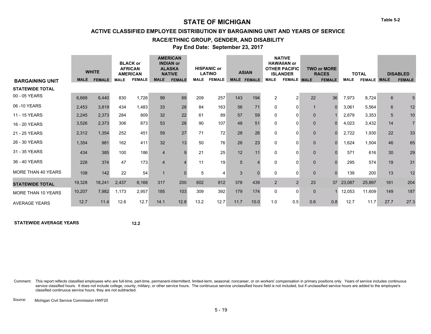**ACTIVE CLASSIFIED EMPLOYEE DISTRIBUTION BY BARGAINING UNIT AND YEARS OF SERVICE**

#### **RACE/ETHNIC GROUP, GENDER, AND DISABILITY**

**Pay End Date: September 23, 2017**

|                           |             | <b>WHITE</b>  |             | <b>BLACK or</b><br><b>AFRICAN</b><br><b>AMERICAN</b> |                | <b>AMERICAN</b><br><b>INDIAN or</b><br><b>ALASKA</b><br><b>NATIVE</b> |             | <b>HISPANIC or</b><br><b>LATINO</b> |      | <b>ASIAN</b>       |                | <b>NATIVE</b><br><b>HAWAIIAN or</b><br><b>OTHER PACIFIC</b><br><b>ISLANDER</b> |              | <b>TWO or MORE</b><br><b>RACES</b> |             | <b>TOTAL</b>       |                | <b>DISABLED</b> |
|---------------------------|-------------|---------------|-------------|------------------------------------------------------|----------------|-----------------------------------------------------------------------|-------------|-------------------------------------|------|--------------------|----------------|--------------------------------------------------------------------------------|--------------|------------------------------------|-------------|--------------------|----------------|-----------------|
| <b>BARGAINING UNIT</b>    | <b>MALE</b> | <b>FEMALE</b> | <b>MALE</b> | <b>FEMALE</b>                                        | <b>MALE</b>    | <b>FEMALE</b>                                                         | <b>MALE</b> | <b>FEMALE</b>                       |      | <b>MALE FEMALE</b> | <b>MALE</b>    | <b>FEMALE MALE</b>                                                             |              | <b>FEMALE</b>                      | <b>MALE</b> | <b>FEMALE MALE</b> |                | <b>FEMALE</b>   |
| <b>STATEWIDE TOTAL</b>    |             |               |             |                                                      |                |                                                                       |             |                                     |      |                    |                |                                                                                |              |                                    |             |                    |                |                 |
| 00 - 05 YEARS             | 6,668       | 6,440         | 830         | 1,726                                                | 99             | 69                                                                    | 209         | 257                                 | 143  | 194                | 2              | $\overline{2}$                                                                 | 22           | 36                                 | 7,973       | 8,724              | $6\phantom{1}$ | 5               |
| 06-10 YEARS               | 2,453       | 3,819         | 434         | 1,483                                                | 33             | 28                                                                    | 84          | 163                                 | 56   | 71                 | $\Omega$       | $\Omega$                                                                       | $\mathbf 1$  | $\Omega$                           | 3,061       | 5,564              | 6              | 12              |
| 11 - 15 YEARS             | 2,245       | 2,373         | 284         | 809                                                  | 32             | 22                                                                    | 61          | 89                                  | 57   | 59                 | 0              | $\mathbf{0}$                                                                   | $\mathbf 0$  |                                    | 2,679       | 3,353              | 5              | 10              |
| 16 - 20 YEARS             | 3,526       | 2,373         | 306         | 873                                                  | 53             | 28                                                                    | 90          | 107                                 | 48   | 51                 |                | $\Omega$                                                                       | $\mathbf 0$  |                                    | 4,023       | 3,432              | 14             | $\overline{7}$  |
| 21 - 25 YEARS             | 2,312       | 1,354         | 252         | 451                                                  | 59             | 27                                                                    | 71          | 72                                  | 28   | 26                 | 0              | $\Omega$                                                                       | $\mathbf 0$  |                                    | 2,722       | 1,930              | 22             | 33              |
| 26 - 30 YEARS             | 1,354       | 981           | 162         | 411                                                  | 32             | 13                                                                    | 50          | 76                                  | 26   | 23                 | 0              | $\Omega$                                                                       | $\mathbf 0$  |                                    | 1,624       | 1,504              | 46             | 65              |
| 31 - 35 YEARS             | 434         | 385           | 100         | 186                                                  | $\overline{4}$ |                                                                       | 21          | 25                                  | 12   | 11                 | 0              | $\Omega$                                                                       | $\mathbf 0$  |                                    | 571         | 616                | 30             | 29              |
| 36 - 40 YEARS             | 228         | 374           | 47          | 173                                                  | $\overline{4}$ |                                                                       | 11          | 19                                  | 5    |                    | $\Omega$       | $\Omega$                                                                       | $\mathbf 0$  |                                    | 295         | 574                | 19             | 31              |
| <b>MORE THAN 40 YEARS</b> | 108         | 142           | 22          | 54                                                   | $\mathbf{1}$   |                                                                       | 5           | 4                                   | 3    | $\Omega$           | 0              | $\Omega$                                                                       | $\mathbf{0}$ | $\Omega$                           | 139         | 200                | 13             | 12              |
| <b>STATEWIDE TOTAL</b>    | 19,328      | 18,241        | 2,437       | 6,166                                                | 317            | 200                                                                   | 602         | 812                                 | 378  | 439                | $\overline{2}$ | 2                                                                              | 23           | 37                                 | 23,087      | 25,897             | 161            | 204             |
| <b>MORE THAN 10 YEARS</b> | 10,207      | 7,982         | 1,173       | 2,957                                                | 185            | 103                                                                   | 309         | 392                                 | 179  | 174                | $\mathbf{0}$   | $\Omega$                                                                       | $\mathbf 0$  |                                    | 12,053      | 11,609             | 149            | 187             |
| <b>AVERAGE YEARS</b>      | 12.7        | 11.4          | 12.6        | 12.7                                                 | 14.1           | 12.8                                                                  | 13.2        | 12.7                                | 11.7 | 10.0               | 1.0            | 0.5                                                                            | 0.6          | 0.8                                | 12.7        | 11.7               | 27.7           | 27.3            |

**STATEWIDE AVERAGE YEARS**

**12.2** 

Comment: This report reflects classified employees who are full-time, part-time, permanent-intermittent, limited-term, seasonal, noncareer, or on workers' compensation in primary positions only. Years of service includes c service classified hours. It does not include college, county, military, or other service hours. The continuous service unclassified hours field is not included, but if unclassified service hours are added to the employee' classified continuous service hours, they are not subtracted.

Source: Michigan Civil Service Commission HWF20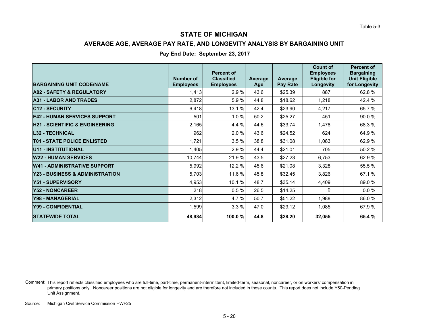### **AVERAGE AGE, AVERAGE PAY RATE, AND LONGEVITY ANALYSIS BY BARGAINING UNIT**

### **Pay End Date: September 23, 2017**

| <b>BARGAINING UNIT CODE/NAME</b>           | Number of<br><b>Employees</b> | <b>Percent of</b><br><b>Classified</b><br><b>Employees</b> | Average<br>Age | Average<br><b>Pay Rate</b> | <b>Count of</b><br><b>Employees</b><br><b>Eligible for</b><br>Longevity | <b>Percent of</b><br><b>Bargaining</b><br><b>Unit Eligible</b><br>for Longevity |
|--------------------------------------------|-------------------------------|------------------------------------------------------------|----------------|----------------------------|-------------------------------------------------------------------------|---------------------------------------------------------------------------------|
| <b>A02 - SAFETY &amp; REGULATORY</b>       | 1,413                         | 2.9%                                                       | 43.6           | \$25.39                    | 887                                                                     | 62.8%                                                                           |
| <b>A31 - LABOR AND TRADES</b>              | 2,872                         | 5.9 %                                                      | 44.8           | \$18.62                    | 1,218                                                                   | 42.4 %                                                                          |
| <b>C12 - SECURITY</b>                      | 6,418                         | 13.1 %                                                     | 42.4           | \$23.90                    | 4,217                                                                   | 65.7 %                                                                          |
| <b>E42 - HUMAN SERVICES SUPPORT</b>        | 501                           | 1.0%                                                       | 50.2           | \$25.27                    | 451                                                                     | 90.0%                                                                           |
| <b>H21 - SCIENTIFIC &amp; ENGINEERING</b>  | 2,165                         | 4.4 %                                                      | 44.6           | \$33.74                    | 1,478                                                                   | 68.3%                                                                           |
| <b>L32 - TECHNICAL</b>                     | 962                           | 2.0%                                                       | 43.6           | \$24.52                    | 624                                                                     | 64.9 %                                                                          |
| <b>T01 - STATE POLICE ENLISTED</b>         | 1,721                         | 3.5%                                                       | 38.8           | \$31.08                    | 1,083                                                                   | 62.9%                                                                           |
| U11 - INSTITUTIONAL                        | 1,405                         | 2.9%                                                       | 44.4           | \$21.01                    | 705                                                                     | 50.2 %                                                                          |
| <b>W22 - HUMAN SERVICES</b>                | 10,744                        | 21.9%                                                      | 43.5           | \$27.23                    | 6,753                                                                   | 62.9%                                                                           |
| <b>W41 - ADMINISTRATIVE SUPPORT</b>        | 5,992                         | 12.2 %                                                     | 45.6           | \$21.08                    | 3,328                                                                   | 55.5 %                                                                          |
| <b>Y23 - BUSINESS &amp; ADMINISTRATION</b> | 5,703                         | 11.6 %                                                     | 45.8           | \$32.45                    | 3,826                                                                   | 67.1 %                                                                          |
| <b>Y51 - SUPERVISORY</b>                   | 4,953                         | 10.1 %                                                     | 48.7           | \$35.14                    | 4,409                                                                   | 89.0%                                                                           |
| <b>Y52 - NONCAREER</b>                     | 218                           | 0.5%                                                       | 26.5           | \$14.25                    | 0                                                                       | $0.0 \%$                                                                        |
| <b>Y98 - MANAGERIAL</b>                    | 2,312                         | 4.7 %                                                      | 50.7           | \$51.22                    | 1,988                                                                   | 86.0%                                                                           |
| <b>Y99 - CONFIDENTIAL</b>                  | 1,599                         | 3.3%                                                       | 47.0           | \$29.12                    | 1,085                                                                   | 67.9 %                                                                          |
| <b>STATEWIDE TOTAL</b>                     | 48,984                        | 100.0%                                                     | 44.8           | \$28.20                    | 32,055                                                                  | 65.4 %                                                                          |

Comment: This report reflects classified employees who are full-time, part-time, permanent-intermittent, limited-term, seasonal, noncareer, or on workers' compensation in primary positions only. Noncareer positions are not eligible for longevity and are therefore not included in those counts. This report does not include Y50-Pending Unit Assignment.

Michigan Civil Service Commission HWF25 Source: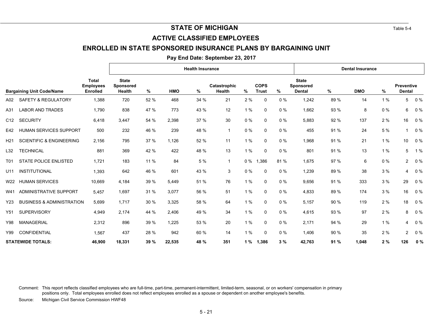### **ACTIVE CLASSIFIED EMPLOYEES**

### **ENROLLED IN STATE SPONSORED INSURANCE PLANS BY BARGAINING UNIT**

#### **Pay End Date: September 23, 2017**

|                 |                                      |                                                     |                                                   |      |            | <b>Health Insurance</b> |                               |       |                             |       |                                            |      | <b>Dental Insurance</b> |       |                                    |       |
|-----------------|--------------------------------------|-----------------------------------------------------|---------------------------------------------------|------|------------|-------------------------|-------------------------------|-------|-----------------------------|-------|--------------------------------------------|------|-------------------------|-------|------------------------------------|-------|
|                 | <b>Bargaining Unit Code/Name</b>     | <b>Total</b><br><b>Employees</b><br><b>Enrolled</b> | <b>State</b><br><b>Sponsored</b><br><b>Health</b> | %    | <b>HMO</b> | %                       | Catastrophic<br><b>Health</b> | %     | <b>COPS</b><br><b>Trust</b> | %     | <b>State</b><br>Sponsored<br><b>Dental</b> | %    | <b>DMO</b>              | %     | <b>Preventive</b><br><b>Dental</b> |       |
| A02             | <b>SAFETY &amp; REGULATORY</b>       | 1,388                                               | 720                                               | 52 % | 468        | 34 %                    | 21                            | 2%    | 0                           | 0%    | 1,242                                      | 89 % | 14                      | 1%    | 5                                  | 0%    |
| A31             | <b>LABOR AND TRADES</b>              | 1,790                                               | 838                                               | 47 % | 773        | 43 %                    | 12                            | 1%    | 0                           | 0%    | 1,662                                      | 93 % | 8                       | 0%    | 6                                  | $0\%$ |
| C <sub>12</sub> | <b>SECURITY</b>                      | 6,418                                               | 3.447                                             | 54 % | 2,398      | 37 %                    | 30                            | $0\%$ | 0                           | 0%    | 5,883                                      | 92 % | 137                     | 2%    | 16                                 | 0%    |
| E42             | <b>HUMAN SERVICES SUPPORT</b>        | 500                                                 | 232                                               | 46 % | 239        | 48 %                    | $\mathbf{1}$                  | $0\%$ | 0                           | 0%    | 455                                        | 91 % | 24                      | 5 %   | 1                                  | 0%    |
| H <sub>21</sub> | <b>SCIENTIFIC &amp; ENGINEERING</b>  | 2,156                                               | 795                                               | 37 % | 1,126      | 52 %                    | 11                            | 1%    | 0                           | $0\%$ | 1,968                                      | 91 % | 21                      | 1%    | 10                                 | 0%    |
| L32             | <b>TECHNICAL</b>                     | 881                                                 | 369                                               | 42 % | 422        | 48 %                    | 13                            | 1%    | 0                           | $0\%$ | 801                                        | 91 % | 13                      | 1%    | 5                                  | 1%    |
| T01             | <b>STATE POLICE ENLISTED</b>         | 1,721                                               | 183                                               | 11 % | 84         | 5 %                     | $\mathbf{1}$                  | $0\%$ | 1,386                       | 81 %  | 1,675                                      | 97 % | 6                       | $0\%$ | $\overline{2}$                     | $0\%$ |
| U11             | <b>INSTITUTIONAL</b>                 | 1,393                                               | 642                                               | 46 % | 601        | 43 %                    | 3                             | $0\%$ | 0                           | $0\%$ | 1,239                                      | 89 % | 38                      | 3 %   | 4                                  | $0\%$ |
| W22             | <b>HUMAN SERVICES</b>                | 10.669                                              | 4.184                                             | 39 % | 5,449      | 51 %                    | 76                            | 1%    | 0                           | $0\%$ | 9,656                                      | 91 % | 333                     | 3%    | 29                                 | 0%    |
| W41             | ADMINISTRATIVE SUPPORT               | 5.457                                               | 1.697                                             | 31 % | 3,077      | 56 %                    | 51                            | 1%    | 0                           | $0\%$ | 4,833                                      | 89 % | 174                     | 3%    | 16                                 | 0%    |
| Y23             | <b>BUSINESS &amp; ADMINISTRATION</b> | 5,699                                               | 1.717                                             | 30 % | 3,325      | 58 %                    | 64                            | 1%    | 0                           | $0\%$ | 5,157                                      | 90 % | 119                     | 2%    | 18                                 | 0%    |
| Y51             | <b>SUPERVISORY</b>                   | 4,949                                               | 2.174                                             | 44 % | 2,406      | 49 %                    | 34                            | 1%    | 0                           | $0\%$ | 4,615                                      | 93 % | 97                      | 2%    | 8                                  | 0%    |
| Y98             | <b>MANAGERIAL</b>                    | 2,312                                               | 896                                               | 39 % | 1,225      | 53 %                    | 20                            | 1%    | 0                           | $0\%$ | 2,171                                      | 94 % | 29                      | 1%    | 4                                  | $0\%$ |
| Y99             | CONFIDENTIAL                         | 1,567                                               | 437                                               | 28 % | 942        | 60 %                    | 14                            | 1%    | 0                           | $0\%$ | 1,406                                      | 90 % | 35                      | 2 %   | $\overline{2}$                     | $0\%$ |
|                 | <b>STATEWIDE TOTALS:</b>             | 46,900                                              | 18,331                                            | 39 % | 22,535     | 48 %                    | 351                           | 1%    | 1,386                       | 3%    | 42,763                                     | 91%  | 1,048                   | 2%    | 126                                | 0%    |

Comment: This report reflects classified employees who are full-time, part-time, permanent-intermittent, limited-term, seasonal, or on workers' compensation in primary positions only. Total employees enrolled does not reflect employees enrolled as a spouse or dependent on another employee's benefits.

Source: Michigan Civil Service Commission HWF48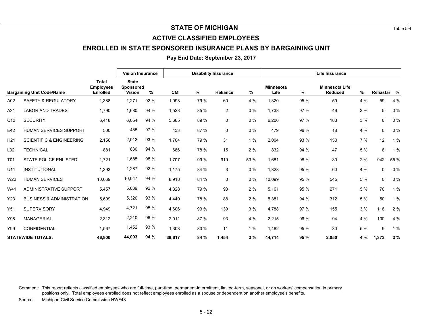### **ACTIVE CLASSIFIED EMPLOYEES**

### **ENROLLED IN STATE SPONSORED INSURANCE PLANS BY BARGAINING UNIT**

**Pay End Date: September 23, 2017**

|                 |                                      |                                  | <b>Vision Insurance</b>   |      |            |      | <b>Disability Insurance</b> |       |                  |      | <b>Life Insurance</b> |     |             |       |
|-----------------|--------------------------------------|----------------------------------|---------------------------|------|------------|------|-----------------------------|-------|------------------|------|-----------------------|-----|-------------|-------|
|                 |                                      |                                  |                           |      |            |      |                             |       |                  |      |                       |     |             |       |
|                 |                                      | <b>Total</b><br><b>Employees</b> | <b>State</b><br>Sponsored |      |            |      |                             |       | <b>Minnesota</b> |      | <b>Minnesota Life</b> |     |             |       |
|                 | <b>Bargaining Unit Code/Name</b>     | <b>Enrolled</b>                  | <b>Vision</b>             | %    | <b>CMI</b> | %    | <b>Reliance</b>             | %     | Life             | %    | <b>Reduced</b>        | %   | Reliastar % |       |
| A02             | <b>SAFETY &amp; REGULATORY</b>       | 1,388                            | 1,271                     | 92 % | 1,098      | 79 % | 60                          | 4 %   | 1,320            | 95 % | 59                    | 4 % | 59          | 4 %   |
| A31             | <b>LABOR AND TRADES</b>              | 1,790                            | 1,680                     | 94 % | 1,523      | 85 % | $\overline{2}$              | $0\%$ | 1,738            | 97 % | 46                    | 3 % | 5           | $0\%$ |
| C <sub>12</sub> | <b>SECURITY</b>                      | 6,418                            | 6,054                     | 94 % | 5.685      | 89 % | 0                           | $0\%$ | 6,206            | 97 % | 183                   | 3 % | 0           | $0\%$ |
| E42             | <b>HUMAN SERVICES SUPPORT</b>        | 500                              | 485                       | 97%  | 433        | 87 % | 0                           | 0%    | 479              | 96 % | 18                    | 4 % | 0           | 0%    |
| H <sub>21</sub> | <b>SCIENTIFIC &amp; ENGINEERING</b>  | 2,156                            | 2,012                     | 93 % | 1,704      | 79 % | 31                          | 1%    | 2,004            | 93 % | 150                   | 7 % | 12          | 1 %   |
| L32             | <b>TECHNICAL</b>                     | 881                              | 830                       | 94 % | 686        | 78 % | 15                          | 2%    | 832              | 94 % | 47                    | 5 % | 8           | 1%    |
| T01             | <b>STATE POLICE ENLISTED</b>         | 1,721                            | 1,685                     | 98 % | 1,707      | 99 % | 919                         | 53 %  | 1,681            | 98 % | 30                    | 2 % | 942         | 55 %  |
| U11             | <b>INSTITUTIONAL</b>                 | 1,393                            | 1,287                     | 92 % | 1,175      | 84 % | 3                           | 0%    | 1,328            | 95 % | 60                    | 4 % | 0           | $0\%$ |
| W22             | <b>HUMAN SERVICES</b>                | 10,669                           | 10,047                    | 94 % | 8,918      | 84 % | $\mathbf 0$                 | $0\%$ | 10,099           | 95 % | 545                   | 5 % | 0           | 0%    |
| W41             | <b>ADMINISTRATIVE SUPPORT</b>        | 5,457                            | 5,039                     | 92 % | 4,328      | 79 % | 93                          | 2%    | 5,161            | 95 % | 271                   | 5 % | 70          | 1%    |
| Y23             | <b>BUSINESS &amp; ADMINISTRATION</b> | 5.699                            | 5,320                     | 93 % | 4.440      | 78 % | 88                          | 2%    | 5,381            | 94 % | 312                   | 5 % | 50          | 1%    |
| Y51             | <b>SUPERVISORY</b>                   | 4,949                            | 4,721                     | 95 % | 4.606      | 93 % | 139                         | 3 %   | 4,788            | 97 % | 155                   | 3 % | 118         | 2 %   |
| Y98             | <b>MANAGERIAL</b>                    | 2,312                            | 2,210                     | 96 % | 2.011      | 87 % | 93                          | 4 %   | 2,215            | 96 % | 94                    | 4 % | 100         | 4 %   |
| Y99             | <b>CONFIDENTIAL</b>                  | 1,567                            | 1,452                     | 93 % | 1,303      | 83 % | 11                          | 1%    | 1,482            | 95 % | 80                    | 5 % | 9           | 1%    |
|                 | <b>STATEWIDE TOTALS:</b>             | 46,900                           | 44,093                    | 94 % | 39,617     | 84 % | 1,454                       | 3%    | 44,714           | 95 % | 2,050                 | 4 % | 1,373       | 3%    |

Comment: This report reflects classified employees who are full-time, part-time, permanent-intermittent, limited-term, seasonal, or on workers' compensation in primary positions only. Total employees enrolled does not reflect employees enrolled as a spouse or dependent on another employee's benefits.

Source: Michigan Civil Service Commission HWF48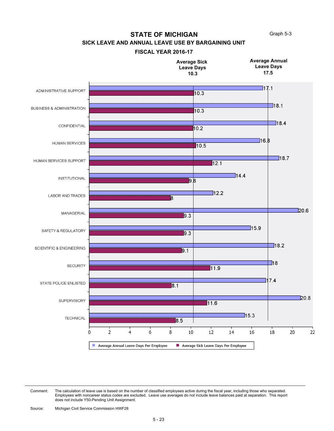Graph 5-3

#### **STATE OF MICHIGAN**

#### **SICK LEAVE AND ANNUAL LEAVE USE BY BARGAINING UNIT**

**FISCAL YEAR 2016-17**



Comment: The calculation of leave use is based on the number of classified employees active during the fiscal year, including those who separated. Employees with noncareer status codes are excluded. Leave use averages do not include leave balances paid at separation. This report does not include Y50-Pending Unit Assignment.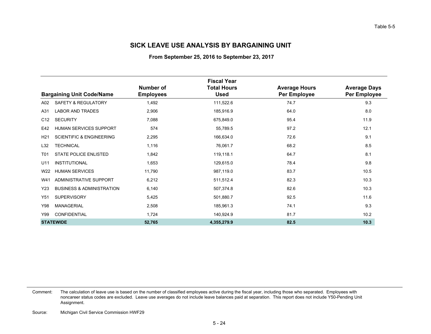### **SICK LEAVE USE ANALYSIS BY BARGAINING UNIT**

**From September 25, 2016 to September 23, 2017**

| <b>Bargaining Unit Code/Name</b>                       | Number of<br><b>Employees</b> | <b>Fiscal Year</b><br><b>Total Hours</b><br><b>Used</b> | <b>Average Hours</b><br><b>Per Employee</b> | <b>Average Days</b><br>Per Employee |
|--------------------------------------------------------|-------------------------------|---------------------------------------------------------|---------------------------------------------|-------------------------------------|
| <b>SAFETY &amp; REGULATORY</b><br>A02                  | 1,492                         | 111,522.6                                               | 74.7                                        | 9.3                                 |
| <b>LABOR AND TRADES</b><br>A31                         | 2,906                         | 185,916.9                                               | 64.0                                        | 8.0                                 |
| <b>SECURITY</b><br>C <sub>12</sub>                     | 7,088                         | 675,849.0                                               | 95.4                                        | 11.9                                |
| <b>HUMAN SERVICES SUPPORT</b><br>E42                   | 574                           | 55,789.5                                                | 97.2                                        | 12.1                                |
| <b>SCIENTIFIC &amp; ENGINEERING</b><br>H <sub>21</sub> | 2,295                         | 166,634.0                                               | 72.6                                        | 9.1                                 |
| <b>TECHNICAL</b><br>L32                                | 1,116                         | 76,061.7                                                | 68.2                                        | 8.5                                 |
| <b>STATE POLICE ENLISTED</b><br>T <sub>0</sub> 1       | 1,842                         | 119,118.1                                               | 64.7                                        | 8.1                                 |
| <b>INSTITUTIONAL</b><br>U11                            | 1,653                         | 129,615.0                                               | 78.4                                        | 9.8                                 |
| <b>HUMAN SERVICES</b><br>W22                           | 11,790                        | 987,119.0                                               | 83.7                                        | 10.5                                |
| ADMINISTRATIVE SUPPORT<br>W41                          | 6,212                         | 511,512.4                                               | 82.3                                        | 10.3                                |
| <b>BUSINESS &amp; ADMINISTRATION</b><br>Y23            | 6,140                         | 507,374.8                                               | 82.6                                        | 10.3                                |
| <b>SUPERVISORY</b><br>Y51                              | 5,425                         | 501,880.7                                               | 92.5                                        | 11.6                                |
| <b>MANAGERIAL</b><br>Y98                               | 2,508                         | 185,961.3                                               | 74.1                                        | 9.3                                 |
| <b>CONFIDENTIAL</b><br>Y99                             | 1,724                         | 140,924.9                                               | 81.7                                        | 10.2                                |
| <b>STATEWIDE</b>                                       | 52,765                        | 4,355,279.9                                             | 82.5                                        | 10.3                                |

Comment: The calculation of leave use is based on the number of classified employees active during the fiscal year, including those who separated. Employees with noncareer status codes are excluded. Leave use averages do not include leave balances paid at separation. This report does not include Y50-Pending Unit Assignment.

Source: Michigan Civil Service Commission HWF29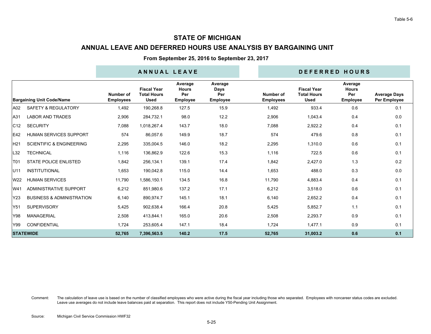### **ANNUAL LEAVE AND DEFERRED HOURS USE ANALYSIS BY BARGAINING UNIT**

**From September 25, 2016 to September 23, 2017**

|                 |                                      |                               | <b>ANNUAL LEAVE</b>                                     |                                                   |                                           |                               |                                                         | DEFERRED HOURS                                    |                                            |
|-----------------|--------------------------------------|-------------------------------|---------------------------------------------------------|---------------------------------------------------|-------------------------------------------|-------------------------------|---------------------------------------------------------|---------------------------------------------------|--------------------------------------------|
|                 | <b>Bargaining Unit Code/Name</b>     | Number of<br><b>Employees</b> | <b>Fiscal Year</b><br><b>Total Hours</b><br><b>Used</b> | Average<br><b>Hours</b><br>Per<br><b>Employee</b> | Average<br>Days<br>Per<br><b>Employee</b> | Number of<br><b>Employees</b> | <b>Fiscal Year</b><br><b>Total Hours</b><br><b>Used</b> | Average<br><b>Hours</b><br>Per<br><b>Employee</b> | <b>Average Days</b><br><b>Per Employee</b> |
| A02             | <b>SAFETY &amp; REGULATORY</b>       | 1,492                         | 190,268.8                                               | 127.5                                             | 15.9                                      | 1,492                         | 933.4                                                   | 0.6                                               | 0.1                                        |
| A31             | <b>LABOR AND TRADES</b>              | 2,906                         | 284,732.1                                               | 98.0                                              | 12.2                                      | 2,906                         | 1.043.4                                                 | 0.4                                               | 0.0                                        |
| C <sub>12</sub> | <b>SECURITY</b>                      | 7,088                         | 1,018,267.4                                             | 143.7                                             | 18.0                                      | 7,088                         | 2,922.2                                                 | 0.4                                               | 0.1                                        |
| E42             | <b>HUMAN SERVICES SUPPORT</b>        | 574                           | 86,057.6                                                | 149.9                                             | 18.7                                      | 574                           | 479.6                                                   | 0.8                                               | 0.1                                        |
| H <sub>21</sub> | <b>SCIENTIFIC &amp; ENGINEERING</b>  | 2,295                         | 335,004.5                                               | 146.0                                             | 18.2                                      | 2,295                         | 1,310.0                                                 | 0.6                                               | 0.1                                        |
| L32             | <b>TECHNICAL</b>                     | 1.116                         | 136,862.9                                               | 122.6                                             | 15.3                                      | 1,116                         | 722.5                                                   | 0.6                                               | 0.1                                        |
| T01             | <b>STATE POLICE ENLISTED</b>         | 1,842                         | 256,134.1                                               | 139.1                                             | 17.4                                      | 1,842                         | 2,427.0                                                 | 1.3                                               | 0.2                                        |
| U11             | <b>INSTITUTIONAL</b>                 | 1,653                         | 190,042.8                                               | 115.0                                             | 14.4                                      | 1,653                         | 488.0                                                   | 0.3                                               | 0.0                                        |
| W22             | <b>HUMAN SERVICES</b>                | 11.790                        | 1,586,150.1                                             | 134.5                                             | 16.8                                      | 11,790                        | 4,883.4                                                 | 0.4                                               | 0.1                                        |
| W41             | ADMINISTRATIVE SUPPORT               | 6,212                         | 851,980.6                                               | 137.2                                             | 17.1                                      | 6,212                         | 3,518.0                                                 | 0.6                                               | 0.1                                        |
| Y23             | <b>BUSINESS &amp; ADMINISTRATION</b> | 6.140                         | 890,974.7                                               | 145.1                                             | 18.1                                      | 6,140                         | 2,652.2                                                 | 0.4                                               | 0.1                                        |
| Y51             | <b>SUPERVISORY</b>                   | 5,425                         | 902,638.4                                               | 166.4                                             | 20.8                                      | 5,425                         | 5,852.7                                                 | 1.1                                               | 0.1                                        |
| Y98             | <b>MANAGERIAL</b>                    | 2,508                         | 413,844.1                                               | 165.0                                             | 20.6                                      | 2,508                         | 2,293.7                                                 | 0.9                                               | 0.1                                        |
| Y99             | CONFIDENTIAL                         | 1,724                         | 253,605.4                                               | 147.1                                             | 18.4                                      | 1,724                         | 1,477.1                                                 | 0.9                                               | 0.1                                        |
|                 | <b>STATEWIDE</b>                     | 52,765                        | 7,396,563.5                                             | 140.2                                             | 17.5                                      | 52,765                        | 31,003.2                                                | 0.6                                               | 0.1                                        |

The calculation of leave use is based on the number of classified employees who were active during the fiscal year including those who separated. Employees with noncareer status codes are excluded. Leave use averages do not include leave balances paid at separation. This report does not include Y50-Pending Unit Assignment. Comment: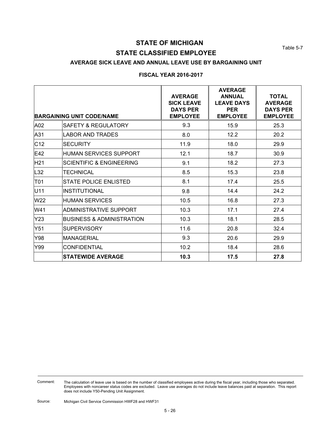Table 5-7

# **STATE OF MICHIGAN STATE CLASSIFIED EMPLOYEE**

#### **AVERAGE SICK LEAVE AND ANNUAL LEAVE USE BY BARGAINING UNIT**

#### **FISCAL YEAR 2016-2017**

|                 | <b>BARGAINING UNIT CODE/NAME</b>     | <b>AVERAGE</b><br><b>SICK LEAVE</b><br><b>DAYS PER</b><br><b>EMPLOYEE</b> | <b>AVERAGE</b><br><b>ANNUAL</b><br><b>LEAVE DAYS</b><br><b>PER</b><br><b>EMPLOYEE</b> | <b>TOTAL</b><br><b>AVERAGE</b><br><b>DAYS PER</b><br><b>EMPLOYEE</b> |
|-----------------|--------------------------------------|---------------------------------------------------------------------------|---------------------------------------------------------------------------------------|----------------------------------------------------------------------|
| A02             | <b>SAFETY &amp; REGULATORY</b>       | 9.3                                                                       | 15.9                                                                                  | 25.3                                                                 |
| A31             | <b>LABOR AND TRADES</b>              | 8.0                                                                       | 12.2                                                                                  | 20.2                                                                 |
| C12             | <b>SECURITY</b>                      | 11.9                                                                      | 18.0                                                                                  | 29.9                                                                 |
| E42             | <b>HUMAN SERVICES SUPPORT</b>        | 12.1                                                                      | 18.7                                                                                  | 30.9                                                                 |
| H <sub>21</sub> | <b>SCIENTIFIC &amp; ENGINEERING</b>  | 9.1                                                                       | 18.2                                                                                  | 27.3                                                                 |
| L32             | <b>TECHNICAL</b>                     | 8.5                                                                       | 15.3                                                                                  | 23.8                                                                 |
| T01             | <b>STATE POLICE ENLISTED</b>         | 8.1                                                                       | 17.4                                                                                  | 25.5                                                                 |
| U11             | <b>INSTITUTIONAL</b>                 | 9.8                                                                       | 14.4                                                                                  | 24.2                                                                 |
| W22             | <b>HUMAN SERVICES</b>                | 10.5                                                                      | 16.8                                                                                  | 27.3                                                                 |
| W41             | ADMINISTRATIVE SUPPORT               | 10.3                                                                      | 17.1                                                                                  | 27.4                                                                 |
| Y23             | <b>BUSINESS &amp; ADMINISTRATION</b> | 10.3                                                                      | 18.1                                                                                  | 28.5                                                                 |
| Y51             | <b>SUPERVISORY</b>                   | 11.6                                                                      | 20.8                                                                                  | 32.4                                                                 |
| Y98             | <b>MANAGERIAL</b>                    | 9.3                                                                       | 20.6                                                                                  | 29.9                                                                 |
| Y99             | <b>CONFIDENTIAL</b>                  | 10.2                                                                      | 18.4                                                                                  | 28.6                                                                 |
|                 | <b>STATEWIDE AVERAGE</b>             | 10.3                                                                      | 17.5                                                                                  | 27.8                                                                 |

The calculation of leave use is based on the number of classified employees active during the fiscal year, including those who separated. Employees with noncareer status codes are excluded. Leave use averages do not include leave balances paid at separation. This report does not include Y50-Pending Unit Assignment. Comment: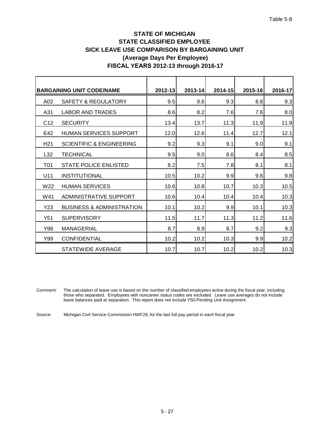### **STATE OF MICHIGAN STATE CLASSIFIED EMPLOYEE SICK LEAVE USE COMPARISON BY BARGAINING UNIT (Average Days Per Employee) FISCAL YEARS 2012-13 through 2016-17**

|                 | <b>BARGAINING UNIT CODE/NAME</b>     | 2012-13 | 2013-14 | 2014-15 | 2015-16 | 2016-17 |
|-----------------|--------------------------------------|---------|---------|---------|---------|---------|
| A02             | <b>SAFETY &amp; REGULATORY</b>       | 9.5     | 9.6     | 9.3     | 8.8     | 9.3     |
| A31             | LABOR AND TRADES                     | 8.6     | 8.2     | 7.6     | 7.6     | 8.0     |
| C <sub>12</sub> | <b>SECURITY</b>                      | 13.4    | 13.7    | 11.3    | 11.9    | 11.9    |
| E42             | <b>HUMAN SERVICES SUPPORT</b>        | 12.0    | 12.6    | 11.4    | 12.7    | 12.1    |
| H <sub>21</sub> | <b>SCIENTIFIC &amp; ENGINEERING</b>  | 9.2     | 9.3     | 9.1     | 9.0     | 9.1     |
| L32             | TECHNICAL                            | 9.5     | 9.0     | 8.6     | 8.4     | 8.5     |
| T <sub>01</sub> | <b>STATE POLICE ENLISTED</b>         | 8.2     | 7.5     | 7.8     | 8.1     | 8.1     |
| U11             | <b>INSTITUTIONAL</b>                 | 10.5    | 10.2    | 9.9     | 9.6     | 9.8     |
| W22             | <b>HUMAN SERVICES</b>                | 10.6    | 10.8    | 10.7    | 10.3    | 10.5    |
| W41             | <b>ADMINISTRATIVE SUPPORT</b>        | 10.6    | 10.4    | 10.4    | 10.4    | 10.3    |
| Y <sub>23</sub> | <b>BUSINESS &amp; ADMINISTRATION</b> | 10.1    | 10.2    | 9.9     | 10.1    | 10.3    |
| Y51             | <b>SUPERVISORY</b>                   | 11.5    | 11.7    | 11.3    | 11.2    | 11.6    |
| Y98             | <b>MANAGERIAL</b>                    | 8.7     | 8.9     | 8.7     | 9.2     | 9.3     |
| Y99             | <b>CONFIDENTIAL</b>                  | 10.2    | 10.2    | 10.3    | 9.9     | 10.2    |
|                 | STATEWIDE AVERAGE                    | 10.7    | 10.7    | 10.2    | 10.2    | 10.3    |

The calculation of leave use is based on the number of classified employees active during the fiscal year, including those who separated. Employees with noncareer status codes are excluded. Leave use averages do not include leave balances paid at separation. This report does not include Y50-Pending Unit Assignment. Comment:

Source: Michigan Civil Service Commission HWF29, for the last full pay period in each fiscal year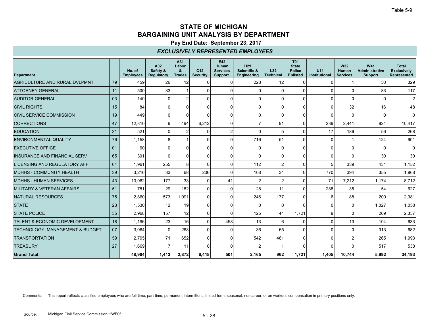### **Pay End Date: September 23, 2017**

### *EXCLUSIVELY REPRESENTED EMPLOYEES*

| <b>Department</b>                        |    | No. of<br><b>Employees</b> | A02<br>Safety &<br>Regulatory | A31<br>Labor<br>&<br><b>Trades</b> | C <sub>12</sub><br><b>Security</b> | E42<br>Human<br><b>Services</b><br>Support | H <sub>21</sub><br><b>Scientific &amp;</b><br>Engineering | L32<br><b>Technical</b> | <b>T01</b><br><b>State</b><br><b>Police</b><br><b>Enlisted</b> | U <sub>11</sub><br><b>Institutional</b> | <b>W22</b><br>Human<br><b>Services</b> | <b>W41</b><br><b>Administrative</b><br><b>Support</b> | <b>Total</b><br><b>Exclusively</b><br>Represented |
|------------------------------------------|----|----------------------------|-------------------------------|------------------------------------|------------------------------------|--------------------------------------------|-----------------------------------------------------------|-------------------------|----------------------------------------------------------------|-----------------------------------------|----------------------------------------|-------------------------------------------------------|---------------------------------------------------|
| <b>AGRICULTURE AND RURAL DVLPMNT</b>     | 79 | 459                        | 26                            | 12                                 | 0                                  | $\Omega$                                   | 228                                                       | 12                      | 0                                                              | 0                                       |                                        | 50                                                    | 329                                               |
| <b>ATTORNEY GENERAL</b>                  | 11 | 500                        | 33                            |                                    | 0                                  | $\Omega$                                   | n                                                         | 0                       | $\Omega$                                                       | 0                                       | $\Omega$                               | 83                                                    | 117                                               |
| <b>AUDITOR GENERAL</b>                   | 03 | 140                        | 0                             | $\overline{2}$                     | $\Omega$                           | 0                                          | 0                                                         | 0                       | 0                                                              | 0                                       | $\Omega$                               | $\Omega$                                              | $\overline{2}$                                    |
| <b>CIVIL RIGHTS</b>                      | 15 | 84                         | 0                             | $\Omega$                           | $\Omega$                           | $\Omega$                                   | ŋ                                                         | 0                       | 0                                                              |                                         | 32                                     | 16                                                    | 48                                                |
| <b>CIVIL SERVICE COMMISSION</b>          | 19 | 449                        | 0                             | $\Omega$                           | $\Omega$                           | 0                                          | $\Omega$                                                  | 0                       | 0                                                              | U                                       | $\Omega$                               | O                                                     | $\mathbf 0$                                       |
| <b>CORRECTIONS</b>                       | 47 | 12,310                     | 9                             | 494                                | 6,212                              | 0                                          |                                                           | 91                      | 0                                                              | 239                                     | 2,441                                  | 924                                                   | 10,417                                            |
| <b>EDUCATION</b>                         | 31 | 521                        | $\Omega$                      | $\overline{2}$                     | 0                                  | $\overline{2}$                             | $\Omega$                                                  | 5                       | $\Omega$                                                       | 17                                      | 186                                    | 56                                                    | 268                                               |
| <b>ENVIRONMENTAL QUALITY</b>             | 76 | 1,158                      | 8                             |                                    | $\Omega$                           | $\mathbf 0$                                | 716                                                       | 51                      | $\Omega$                                                       | $\mathbf{0}$                            |                                        | 124                                                   | 901                                               |
| <b>EXECUTIVE OFFICE</b>                  | 01 | 60                         | 0                             | $\Omega$                           | 0                                  | $\mathbf 0$                                |                                                           | 0                       | $\Omega$                                                       | O                                       | $\Omega$                               | O                                                     | $\mathbf 0$                                       |
| <b>INSURANCE AND FINANCIAL SERV</b>      | 65 | 301                        | $\Omega$                      | $\Omega$                           | 0                                  | 0                                          | $\Omega$                                                  | 0                       | 0                                                              | 0                                       | $\Omega$                               | 30                                                    | 30                                                |
| LICENSING AND REGULATORY AFF             | 64 | 1,961                      | 255                           | 8                                  | $\Omega$                           | $\mathbf 0$                                | 112                                                       | $\overline{2}$          | 0                                                              | 5                                       | 339                                    | 431                                                   | 1,152                                             |
| MDHHS - COMMUNITY HEALTH                 | 39 | 3,216                      | 33                            | 68                                 | 206                                | $\Omega$                                   | 108                                                       | 34                      | $\Omega$                                                       | 770                                     | 394                                    | 355                                                   | 1,968                                             |
| <b>MDHHS - HUMAN SERVICES</b>            | 43 | 10,962                     | 177                           | 33                                 | $\Omega$                           | 41                                         |                                                           | $\overline{2}$          | 0                                                              | 71                                      | 7,212                                  | 1,174                                                 | 8.712                                             |
| <b>MILITARY &amp; VETERAN AFFAIRS</b>    | 51 | 781                        | 29                            | 182                                | $\Omega$                           | 0                                          | 28                                                        | 11                      | 0                                                              | 288                                     | 35                                     | 54                                                    | 627                                               |
| NATURAL RESOURCES                        | 75 | 2,860                      | 573                           | 1,091                              | $\Omega$                           | 0                                          | 246                                                       | 177                     | 0                                                              | 6                                       | 88                                     | 200                                                   | 2,381                                             |
| <b>STATE</b>                             | 23 | 1.530                      | 12                            | 19                                 | $\overline{0}$                     | $\mathbf 0$                                | $\Omega$                                                  | 0                       | $\Omega$                                                       | $\Omega$                                | $\mathbf{0}$                           | 1,027                                                 | 1,058                                             |
| <b>STATE POLICE</b>                      | 55 | 2,968                      | 157                           | 12                                 | $\Omega$                           | $\Omega$                                   | 125                                                       | 44                      | 1,721                                                          | 9                                       | $\Omega$                               | 269                                                   | 2,337                                             |
| <b>TALENT &amp; ECONOMIC DEVELOPMENT</b> | 18 | 1,196                      | 23                            | 16                                 | $\Omega$                           | 458                                        | 13                                                        | 6                       | 0                                                              | $\Omega$                                | 13                                     | 104                                                   | 633                                               |
| TECHNOLOGY, MANAGEMENT & BUDGET          | 07 | 3,064                      | $\Omega$                      | 268                                | $\Omega$                           | $\Omega$                                   | 36                                                        | 65                      | $\Omega$                                                       | $\mathbf{0}$                            | $\Omega$                               | 313                                                   | 682                                               |
| <b>TRANSPORTATION</b>                    | 59 | 2,795                      | 71                            | 652                                | $\overline{0}$                     | $\mathbf 0$                                | 542                                                       | 461                     | $\Omega$                                                       | $\Omega$                                | $\overline{2}$                         | 265                                                   | 1,993                                             |
| <b>TREASURY</b>                          | 27 | 1,669                      | 7                             | 11                                 | 0                                  | $\Omega$                                   |                                                           |                         | $\Omega$                                                       | O                                       | $\Omega$                               | 517                                                   | 538                                               |
| <b>Grand Total:</b>                      |    | 48,984                     | 1,413                         | 2,872                              | 6,418                              | 501                                        | 2,165                                                     | 962                     | 1,721                                                          | 1,405                                   | 10,744                                 | 5,992                                                 | 34,193                                            |

Comments: This report reflects classified employees who are full-time, part-time, permanent-intermittent, limited-term, seasonal, noncareer, or on workers' compensation in primary positions only.